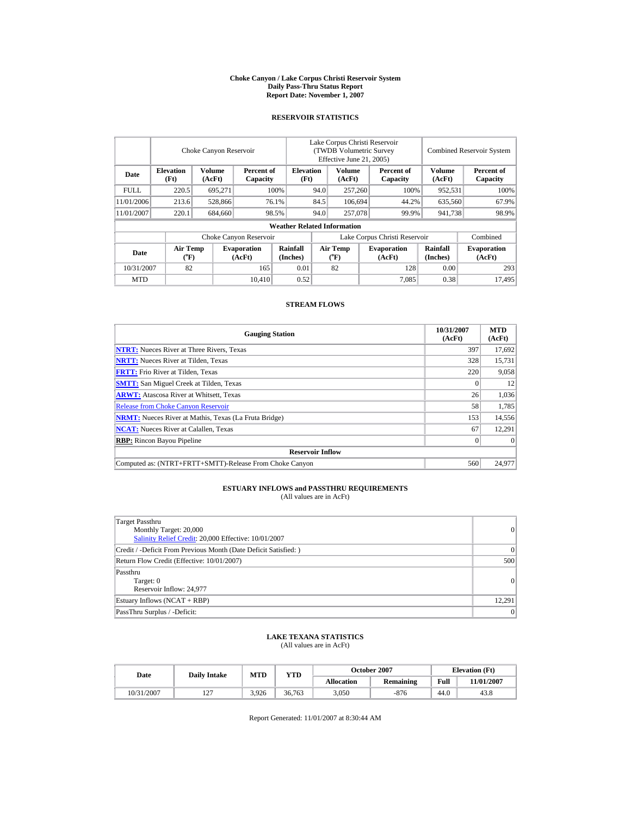#### **Choke Canyon / Lake Corpus Christi Reservoir System Daily Pass-Thru Status Report Report Date: November 1, 2007**

#### **RESERVOIR STATISTICS**

|             | Choke Canyon Reservoir                      |                  |                              |                                    | Lake Corpus Christi Reservoir<br>(TWDB Volumetric Survey<br>Effective June 21, 2005) |                                             |  |                               |                      | <b>Combined Reservoir System</b> |  |  |
|-------------|---------------------------------------------|------------------|------------------------------|------------------------------------|--------------------------------------------------------------------------------------|---------------------------------------------|--|-------------------------------|----------------------|----------------------------------|--|--|
| Date        | <b>Elevation</b><br>(Ft)                    | Volume<br>(AcFt) | Percent of<br>Capacity       | <b>Elevation</b><br>(Ft)           |                                                                                      | Volume<br>(AcFt)                            |  | Percent of<br>Capacity        | Volume<br>(AcFt)     | Percent of<br>Capacity           |  |  |
| <b>FULL</b> | 220.5                                       | 695.271          |                              | 100%                               | 94.0                                                                                 | 257,260                                     |  | 100%                          | 952,531              | 100%                             |  |  |
| 11/01/2006  | 213.6                                       | 528,866          |                              | 76.1%                              | 84.5                                                                                 | 106.694                                     |  | 44.2%                         | 635,560              | 67.9%                            |  |  |
| 11/01/2007  | 220.1                                       | 684,660          |                              | 98.5%                              | 94.0                                                                                 | 257,078                                     |  | 99.9%                         | 941,738              | 98.9%                            |  |  |
|             |                                             |                  |                              | <b>Weather Related Information</b> |                                                                                      |                                             |  |                               |                      |                                  |  |  |
|             |                                             |                  | Choke Canyon Reservoir       |                                    |                                                                                      |                                             |  | Lake Corpus Christi Reservoir |                      | Combined                         |  |  |
| Date        | <b>Air Temp</b><br>$({}^{\circ}\mathbf{F})$ |                  | <b>Evaporation</b><br>(AcFt) | Rainfall<br>(Inches)               |                                                                                      | <b>Air Temp</b><br>$({}^{\circ}\mathrm{F})$ |  | <b>Evaporation</b><br>(AcFt)  | Rainfall<br>(Inches) | <b>Evaporation</b><br>(AcFt)     |  |  |
| 10/31/2007  | 82                                          |                  | 165                          | 0.01                               |                                                                                      | 82                                          |  | 128                           | 0.00                 | 293                              |  |  |
| <b>MTD</b>  |                                             |                  | 10.410                       | 0.52                               |                                                                                      |                                             |  | 7.085                         | 0.38                 | 17,495                           |  |  |

#### **STREAM FLOWS**

| <b>Gauging Station</b>                                       | 10/31/2007<br>(AcFt) | <b>MTD</b><br>(AcFt) |
|--------------------------------------------------------------|----------------------|----------------------|
| <b>NTRT:</b> Nueces River at Three Rivers, Texas             | 397                  | 17,692               |
| <b>NRTT:</b> Nueces River at Tilden, Texas                   | 328                  | 15,731               |
| <b>FRTT:</b> Frio River at Tilden, Texas                     | 220                  | 9,058                |
| <b>SMTT:</b> San Miguel Creek at Tilden, Texas               |                      | 12                   |
| <b>ARWT:</b> Atascosa River at Whitsett, Texas               | 26                   | 1,036                |
| <b>Release from Choke Canyon Reservoir</b>                   | 58                   | 1,785                |
| <b>NRMT:</b> Nueces River at Mathis, Texas (La Fruta Bridge) | 153                  | 14,556               |
| <b>NCAT:</b> Nueces River at Calallen, Texas                 | 67                   | 12,291               |
| <b>RBP:</b> Rincon Bayou Pipeline                            | $\overline{0}$       | $\Omega$             |
| <b>Reservoir Inflow</b>                                      |                      |                      |
| Computed as: (NTRT+FRTT+SMTT)-Release From Choke Canyon      | 560                  | 24,977               |

# **ESTUARY INFLOWS and PASSTHRU REQUIREMENTS**<br>(All values are in AcFt)

| Target Passthru                                                  |          |
|------------------------------------------------------------------|----------|
| Monthly Target: 20,000                                           | 0        |
| Salinity Relief Credit: 20,000 Effective: 10/01/2007             |          |
| Credit / -Deficit From Previous Month (Date Deficit Satisfied: ) | $\Omega$ |
| Return Flow Credit (Effective: 10/01/2007)                       | 500      |
| Passthru                                                         |          |
| Target: 0                                                        | 0        |
| Reservoir Inflow: 24,977                                         |          |
| Estuary Inflows (NCAT + RBP)                                     | 12.291   |
| PassThru Surplus / -Deficit:                                     | 0        |

# **LAKE TEXANA STATISTICS** (All values are in AcFt)

| Date       | <b>Daily Intake</b>   | <b>MTD</b> | VTD    |            | <b>October 2007</b> | <b>Elevation</b> (Ft) |            |
|------------|-----------------------|------------|--------|------------|---------------------|-----------------------|------------|
|            |                       |            |        | Allocation | Remaining           | Full                  | 11/01/2007 |
| 10/31/2007 | ר ה<br>$\overline{ }$ | 3.926      | 36.763 | 3,050      | -876                | 44.0                  | 43.8       |

Report Generated: 11/01/2007 at 8:30:44 AM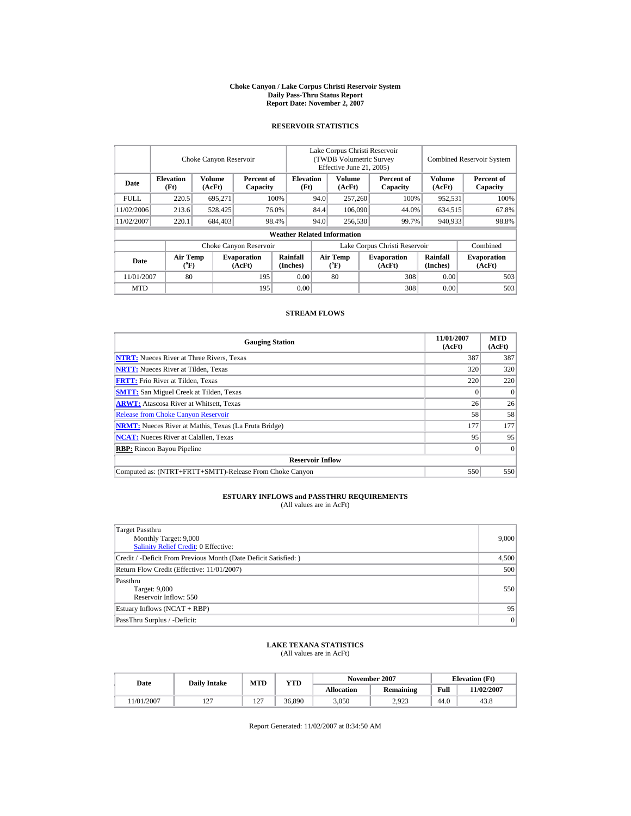#### **Choke Canyon / Lake Corpus Christi Reservoir System Daily Pass-Thru Status Report Report Date: November 2, 2007**

## **RESERVOIR STATISTICS**

|             | Choke Canyon Reservoir                      |                  | Lake Corpus Christi Reservoir<br>(TWDB Volumetric Survey<br>Effective June 21, 2005) |                                    |      |                                |  | <b>Combined Reservoir System</b> |                         |                              |
|-------------|---------------------------------------------|------------------|--------------------------------------------------------------------------------------|------------------------------------|------|--------------------------------|--|----------------------------------|-------------------------|------------------------------|
| Date        | <b>Elevation</b><br>(Ft)                    | Volume<br>(AcFt) | Percent of<br>Capacity                                                               | <b>Elevation</b><br>(Ft)           |      | Volume<br>(AcFt)               |  | Percent of<br>Capacity           | <b>Volume</b><br>(AcFt) | Percent of<br>Capacity       |
| <b>FULL</b> | 220.5                                       | 695.271          |                                                                                      | 100%                               | 94.0 | 257,260                        |  | 100%                             | 952,531                 | 100%                         |
| 11/02/2006  | 213.6                                       | 528,425          |                                                                                      | 76.0%                              | 84.4 | 106,090                        |  | 44.0%                            | 634.515                 | 67.8%                        |
| 11/02/2007  | 220.1                                       | 684,403          |                                                                                      | 98.4%                              | 94.0 | 256,530                        |  | 99.7%                            | 940,933                 | 98.8%                        |
|             |                                             |                  |                                                                                      | <b>Weather Related Information</b> |      |                                |  |                                  |                         |                              |
|             |                                             |                  | Choke Canyon Reservoir                                                               |                                    |      |                                |  | Lake Corpus Christi Reservoir    |                         | Combined                     |
| Date        | <b>Air Temp</b><br>$({}^{\circ}\mathrm{F})$ |                  | <b>Evaporation</b><br>(AcFt)                                                         | Rainfall<br>(Inches)               |      | Air Temp<br>$({}^o\mathrm{F})$ |  | <b>Evaporation</b><br>(AcFt)     | Rainfall<br>(Inches)    | <b>Evaporation</b><br>(AcFt) |
| 11/01/2007  | 80                                          |                  | 195                                                                                  | 0.00                               |      | 80                             |  | 308                              | 0.00                    | 503                          |
| <b>MTD</b>  |                                             |                  | 195                                                                                  | 0.00                               |      |                                |  | 308                              | 0.00                    | 503                          |

### **STREAM FLOWS**

| <b>Gauging Station</b>                                       | 11/01/2007<br>(AcFt) | <b>MTD</b><br>(AcFt) |
|--------------------------------------------------------------|----------------------|----------------------|
| <b>NTRT:</b> Nueces River at Three Rivers, Texas             | 387                  | 387                  |
| <b>NRTT:</b> Nueces River at Tilden, Texas                   | 320                  | 320                  |
| <b>FRTT:</b> Frio River at Tilden, Texas                     | 220                  | 220                  |
| <b>SMTT:</b> San Miguel Creek at Tilden, Texas               |                      | $\theta$             |
| <b>ARWT:</b> Atascosa River at Whitsett, Texas               | 26                   | 26                   |
| <b>Release from Choke Canyon Reservoir</b>                   | 58                   | 58                   |
| <b>NRMT:</b> Nueces River at Mathis, Texas (La Fruta Bridge) | 177                  | 177                  |
| <b>NCAT:</b> Nueces River at Calallen, Texas                 | 95                   | 95                   |
| <b>RBP:</b> Rincon Bayou Pipeline                            |                      | $\Omega$             |
| <b>Reservoir Inflow</b>                                      |                      |                      |
| Computed as: (NTRT+FRTT+SMTT)-Release From Choke Canyon      | 550                  | 550                  |

# **ESTUARY INFLOWS and PASSTHRU REQUIREMENTS**<br>(All values are in AcFt)

| <b>Target Passthru</b><br>Monthly Target: 9,000<br>Salinity Relief Credit: 0 Effective: | 9,000 |
|-----------------------------------------------------------------------------------------|-------|
| Credit / -Deficit From Previous Month (Date Deficit Satisfied:)                         | 4,500 |
| Return Flow Credit (Effective: 11/01/2007)                                              | 500   |
| Passthru<br>Target: 9,000<br>Reservoir Inflow: 550                                      | 550   |
| Estuary Inflows (NCAT + RBP)                                                            | 95    |
| PassThru Surplus / -Deficit:                                                            | 0     |

## **LAKE TEXANA STATISTICS**

(All values are in AcFt)

| Date      | <b>Daily Intake</b> | MTD                   | <b>YTD</b> |                   | November 2007    | <b>Elevation</b> (Ft) |           |
|-----------|---------------------|-----------------------|------------|-------------------|------------------|-----------------------|-----------|
|           |                     |                       |            | <b>Allocation</b> | <b>Remaining</b> | Full                  | 1/02/2007 |
| 1/01/2007 | $\sqrt{2}$<br>14    | ר ה<br>$\overline{1}$ | 36,890     | 3,050             | 2.923            | 44.0                  | 43.8      |

Report Generated: 11/02/2007 at 8:34:50 AM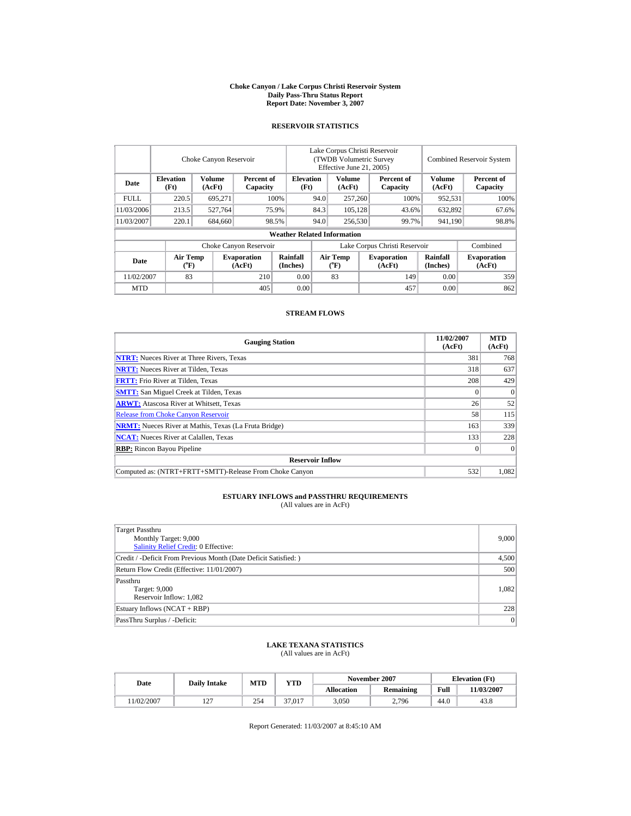#### **Choke Canyon / Lake Corpus Christi Reservoir System Daily Pass-Thru Status Report Report Date: November 3, 2007**

### **RESERVOIR STATISTICS**

|             | Choke Canyon Reservoir                      |                  |                              |                                    | Lake Corpus Christi Reservoir<br>(TWDB Volumetric Survey<br>Effective June 21, 2005) |                                    |                  |                               |                      | <b>Combined Reservoir System</b> |  |
|-------------|---------------------------------------------|------------------|------------------------------|------------------------------------|--------------------------------------------------------------------------------------|------------------------------------|------------------|-------------------------------|----------------------|----------------------------------|--|
| Date        | <b>Elevation</b><br>(Ft)                    | Volume<br>(AcFt) | Percent of<br>Capacity       |                                    | <b>Elevation</b><br>(Ft)                                                             | Volume<br>(AcFt)                   |                  | Percent of<br>Capacity        | Volume<br>(AcFt)     | Percent of<br>Capacity           |  |
| <b>FULL</b> | 220.5                                       | 695.271          |                              | 100%                               | 94.0                                                                                 | 257,260                            |                  | 100%                          | 952,531              | 100%                             |  |
| 11/03/2006  | 213.5                                       | 527.764          |                              | 75.9%                              | 84.3                                                                                 |                                    | 105.128<br>43.6% |                               | 632,892              | 67.6%                            |  |
| 11/03/2007  | 220.1                                       | 684,660          |                              | 98.5%                              | 94.0                                                                                 | 256,530                            |                  | 99.7%                         | 941,190              | 98.8%                            |  |
|             |                                             |                  |                              | <b>Weather Related Information</b> |                                                                                      |                                    |                  |                               |                      |                                  |  |
|             |                                             |                  | Choke Canyon Reservoir       |                                    |                                                                                      |                                    |                  | Lake Corpus Christi Reservoir |                      | Combined                         |  |
| Date        | <b>Air Temp</b><br>$({}^{\circ}\mathrm{F})$ |                  | <b>Evaporation</b><br>(AcFt) | Rainfall<br>(Inches)               |                                                                                      | Air Temp<br>$({}^{\circ}\text{F})$ |                  | <b>Evaporation</b><br>(AcFt)  | Rainfall<br>(Inches) | <b>Evaporation</b><br>(AcFt)     |  |
| 11/02/2007  | 83                                          |                  | 210                          | 0.00                               |                                                                                      | 83                                 |                  | 149                           | 0.00                 | 359                              |  |
| <b>MTD</b>  |                                             |                  | 405                          | 0.00                               |                                                                                      |                                    |                  | 457                           | 0.00                 | 862                              |  |

### **STREAM FLOWS**

| <b>Gauging Station</b>                                       | 11/02/2007<br>(AcFt) | <b>MTD</b><br>(AcFt) |
|--------------------------------------------------------------|----------------------|----------------------|
| <b>NTRT:</b> Nueces River at Three Rivers, Texas             | 381                  | 768                  |
| <b>NRTT:</b> Nueces River at Tilden, Texas                   | 318                  | 637                  |
| <b>FRTT:</b> Frio River at Tilden, Texas                     | 208                  | 429                  |
| <b>SMTT:</b> San Miguel Creek at Tilden, Texas               |                      | $\theta$             |
| <b>ARWT:</b> Atascosa River at Whitsett, Texas               | 26                   | 52                   |
| <b>Release from Choke Canyon Reservoir</b>                   | 58                   | 115                  |
| <b>NRMT:</b> Nueces River at Mathis, Texas (La Fruta Bridge) | 163                  | 339                  |
| <b>NCAT:</b> Nueces River at Calallen, Texas                 | 133                  | 228                  |
| <b>RBP:</b> Rincon Bayou Pipeline                            |                      | $\Omega$             |
| <b>Reservoir Inflow</b>                                      |                      |                      |
| Computed as: (NTRT+FRTT+SMTT)-Release From Choke Canyon      | 532                  | 1.082                |

#### **ESTUARY INFLOWS and PASSTHRU REQUIREMENTS** (All values are in AcFt)

Target Passthru Monthly Target: 9,000 [Salinity Relief Credit:](http://lighthouse.tamucc.edu/salrel) 0 Effective: 9,000 Credit / -Deficit From Previous Month (Date Deficit Satisfied: ) 4,500 Return Flow Credit (Effective: 11/01/2007) 500 Passthru Target: 9,000 Reservoir Inflow: 1,082 1,082 Estuary Inflows (NCAT + RBP) 228 PassThru Surplus / -Deficit: 0

# **LAKE TEXANA STATISTICS**

(All values are in AcFt)

| Date      | <b>Daily Intake</b>      | MTD | <b>YTD</b> |                   | November 2007 | <b>Elevation</b> (Ft) |            |
|-----------|--------------------------|-----|------------|-------------------|---------------|-----------------------|------------|
|           |                          |     |            | <b>Allocation</b> | Remaining     | Full                  | 11/03/2007 |
| 1/02/2007 | $\sim$<br>$\overline{1}$ | 254 | 37.017     | 3,050             | 2,796         | 44.0                  | 43.8       |

Report Generated: 11/03/2007 at 8:45:10 AM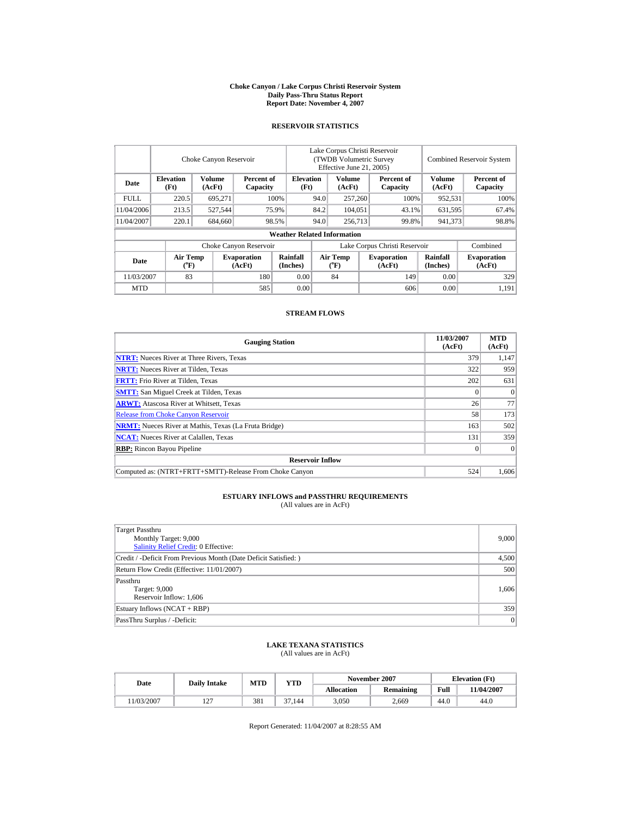#### **Choke Canyon / Lake Corpus Christi Reservoir System Daily Pass-Thru Status Report Report Date: November 4, 2007**

## **RESERVOIR STATISTICS**

|             | Choke Canyon Reservoir                      |                  |                                                      |                                    | Lake Corpus Christi Reservoir<br>(TWDB Volumetric Survey<br>Effective June 21, 2005) |                              |  |                              |                      | <b>Combined Reservoir System</b> |  |  |
|-------------|---------------------------------------------|------------------|------------------------------------------------------|------------------------------------|--------------------------------------------------------------------------------------|------------------------------|--|------------------------------|----------------------|----------------------------------|--|--|
| Date        | <b>Elevation</b><br>(Ft)                    | Volume<br>(AcFt) | Percent of<br>Capacity                               | <b>Elevation</b><br>(Ft)           |                                                                                      | Volume<br>(AcFt)             |  | Percent of<br>Capacity       | Volume<br>(AcFt)     | Percent of<br>Capacity           |  |  |
| <b>FULL</b> | 220.5                                       | 695.271          |                                                      | 100%                               | 94.0                                                                                 | 257,260                      |  | 100%                         | 952,531              | 100%                             |  |  |
| 11/04/2006  | 213.5                                       | 527,544          |                                                      | 75.9%                              | 84.2                                                                                 | 104.051                      |  | 43.1%                        | 631,595              | 67.4%                            |  |  |
| 11/04/2007  | 220.1                                       | 684,660          |                                                      | 98.5%                              | 94.0                                                                                 | 256,713                      |  | 99.8%                        | 941,373              | 98.8%                            |  |  |
|             |                                             |                  |                                                      | <b>Weather Related Information</b> |                                                                                      |                              |  |                              |                      |                                  |  |  |
|             |                                             |                  | Choke Canyon Reservoir                               |                                    | Lake Corpus Christi Reservoir                                                        |                              |  |                              |                      | Combined                         |  |  |
| Date        | <b>Air Temp</b><br>$({}^{\circ}\mathrm{F})$ |                  | Rainfall<br><b>Evaporation</b><br>(AcFt)<br>(Inches) |                                    |                                                                                      | <b>Air Temp</b><br>$(^{o}F)$ |  | <b>Evaporation</b><br>(AcFt) | Rainfall<br>(Inches) | <b>Evaporation</b><br>(AcFt)     |  |  |
| 11/03/2007  | 83                                          |                  | 180                                                  | 0.00                               |                                                                                      | 84                           |  | 149                          | 0.00                 | 329                              |  |  |
| <b>MTD</b>  |                                             |                  | 585                                                  | 0.00                               |                                                                                      |                              |  | 606                          | 0.00                 | 1.191                            |  |  |

### **STREAM FLOWS**

| <b>Gauging Station</b>                                       | 11/03/2007<br>(AcFt) | <b>MTD</b><br>(AcFt) |
|--------------------------------------------------------------|----------------------|----------------------|
| <b>NTRT:</b> Nueces River at Three Rivers, Texas             | 379                  | 1,147                |
| <b>NRTT:</b> Nueces River at Tilden, Texas                   | 322                  | 959                  |
| <b>FRTT:</b> Frio River at Tilden, Texas                     | 202                  | 631                  |
| <b>SMTT:</b> San Miguel Creek at Tilden, Texas               |                      | $\theta$             |
| <b>ARWT:</b> Atascosa River at Whitsett, Texas               | 26                   | 77                   |
| <b>Release from Choke Canyon Reservoir</b>                   | 58                   | 173                  |
| <b>NRMT:</b> Nueces River at Mathis, Texas (La Fruta Bridge) | 163                  | 502                  |
| <b>NCAT:</b> Nueces River at Calallen, Texas                 | 131                  | 359                  |
| <b>RBP:</b> Rincon Bayou Pipeline                            |                      | $\theta$             |
| <b>Reservoir Inflow</b>                                      |                      |                      |
| Computed as: (NTRT+FRTT+SMTT)-Release From Choke Canyon      | 524                  | 1.606                |

# **ESTUARY INFLOWS and PASSTHRU REQUIREMENTS**<br>(All values are in AcFt)

| <b>Target Passthru</b><br>Monthly Target: 9,000                 | 9,000 |
|-----------------------------------------------------------------|-------|
| <b>Salinity Relief Credit: 0 Effective:</b>                     |       |
| Credit / -Deficit From Previous Month (Date Deficit Satisfied:) | 4,500 |
| Return Flow Credit (Effective: 11/01/2007)                      | 500   |
| Passthru                                                        |       |
| Target: 9,000                                                   | 1,606 |
| Reservoir Inflow: 1,606                                         |       |
| Estuary Inflows (NCAT + RBP)                                    | 359   |
| PassThru Surplus / -Deficit:                                    | 0     |

## **LAKE TEXANA STATISTICS**

(All values are in AcFt)

| Date      | <b>Daily Intake</b> | MTD | <b>YTD</b> |                   | November 2007 |      | <b>Elevation</b> (Ft) |
|-----------|---------------------|-----|------------|-------------------|---------------|------|-----------------------|
|           |                     |     |            | <b>Allocation</b> | Remaining     | Full | <b>11/04/2007</b>     |
| 1/03/2007 | $\overline{1}$      | 381 | 37.144     | 3,050             | 2,669         | 44.0 | 44.0                  |

Report Generated: 11/04/2007 at 8:28:55 AM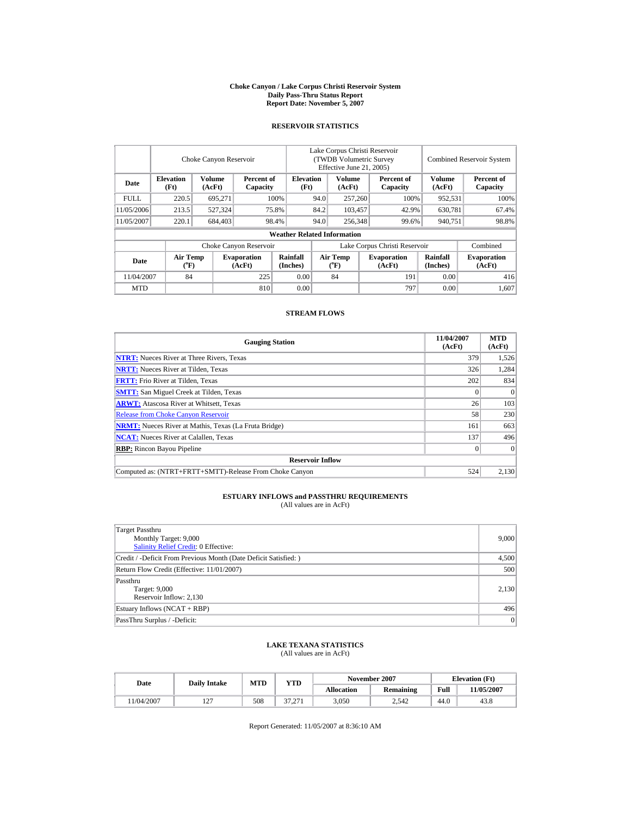#### **Choke Canyon / Lake Corpus Christi Reservoir System Daily Pass-Thru Status Report Report Date: November 5, 2007**

## **RESERVOIR STATISTICS**

|             | Choke Canyon Reservoir             |                  |                              |                                                    | Lake Corpus Christi Reservoir<br>(TWDB Volumetric Survey)<br>Effective June 21, 2005) |                         |                        |                              |                      | Combined Reservoir System    |
|-------------|------------------------------------|------------------|------------------------------|----------------------------------------------------|---------------------------------------------------------------------------------------|-------------------------|------------------------|------------------------------|----------------------|------------------------------|
| Date        | <b>Elevation</b><br>(Ft)           | Volume<br>(AcFt) |                              | <b>Elevation</b><br>Percent of<br>Capacity<br>(Ft) |                                                                                       | <b>Volume</b><br>(AcFt) | Percent of<br>Capacity |                              | Volume<br>(AcFt)     | Percent of<br>Capacity       |
| <b>FULL</b> | 220.5                              | 695.271          |                              | 100%                                               |                                                                                       | 257,260                 | 100%                   |                              | 952,531              | 100%                         |
| 11/05/2006  | 213.5                              | 527.324          |                              | 75.8%                                              | 84.2<br>103.457                                                                       |                         |                        | 42.9%                        | 630.781              | 67.4%                        |
| 11/05/2007  | 220.1                              | 684,403          |                              | 98.4%                                              | 94.0                                                                                  | 256,348                 |                        | 99.6%                        | 940.751              | 98.8%                        |
|             |                                    |                  |                              | <b>Weather Related Information</b>                 |                                                                                       |                         |                        |                              |                      |                              |
|             |                                    |                  | Choke Canyon Reservoir       |                                                    | Lake Corpus Christi Reservoir                                                         |                         |                        |                              |                      | Combined                     |
| Date        | <b>Air Temp</b><br>$({}^{\circ}F)$ |                  | <b>Evaporation</b><br>(AcFt) | Rainfall<br>(Inches)                               | Air Temp<br>$({}^{\circ}\text{F})$                                                    |                         |                        | <b>Evaporation</b><br>(AcFt) | Rainfall<br>(Inches) | <b>Evaporation</b><br>(AcFt) |
| 11/04/2007  | 84                                 |                  | 225                          | 0.00                                               |                                                                                       | 84                      |                        | 191                          | 0.00                 | 416                          |
| <b>MTD</b>  |                                    |                  | 810                          | 0.00                                               |                                                                                       |                         |                        | 797                          | 0.00                 | 1.607                        |

### **STREAM FLOWS**

| <b>Gauging Station</b>                                       | 11/04/2007<br>(AcFt) | <b>MTD</b><br>(AcFt) |
|--------------------------------------------------------------|----------------------|----------------------|
| <b>NTRT:</b> Nueces River at Three Rivers, Texas             | 379                  | 1,526                |
| <b>NRTT:</b> Nueces River at Tilden, Texas                   | 326                  | 1,284                |
| <b>FRTT:</b> Frio River at Tilden, Texas                     | 202                  | 834                  |
| <b>SMTT:</b> San Miguel Creek at Tilden, Texas               |                      | $\theta$             |
| <b>ARWT:</b> Atascosa River at Whitsett, Texas               | 26                   | 103                  |
| <b>Release from Choke Canyon Reservoir</b>                   | 58                   | 230                  |
| <b>NRMT:</b> Nueces River at Mathis, Texas (La Fruta Bridge) | 161                  | 663                  |
| <b>NCAT:</b> Nueces River at Calallen, Texas                 | 137                  | 496                  |
| <b>RBP:</b> Rincon Bayou Pipeline                            |                      | $\Omega$             |
| <b>Reservoir Inflow</b>                                      |                      |                      |
| Computed as: (NTRT+FRTT+SMTT)-Release From Choke Canyon      | 524                  | 2.130                |

# **ESTUARY INFLOWS and PASSTHRU REQUIREMENTS**<br>(All values are in AcFt)

| Target Passthru<br>Monthly Target: 9,000<br>Salinity Relief Credit: 0 Effective: | 9,000 |
|----------------------------------------------------------------------------------|-------|
| Credit / -Deficit From Previous Month (Date Deficit Satisfied: )                 | 4,500 |
| Return Flow Credit (Effective: 11/01/2007)                                       | 500   |
| Passthru<br>Target: 9,000<br>Reservoir Inflow: 2,130                             | 2,130 |
| Estuary Inflows (NCAT + RBP)                                                     | 496   |
| PassThru Surplus / -Deficit:                                                     | 0     |

# **LAKE TEXANA STATISTICS**

(All values are in AcFt)

| Date      | <b>Daily Intake</b>      | MTD | YTD             |                   | November 2007    |      | <b>Elevation</b> (Ft) |
|-----------|--------------------------|-----|-----------------|-------------------|------------------|------|-----------------------|
|           |                          |     |                 | <b>Allocation</b> | <b>Remaining</b> | Full | 1/05/2007             |
| 1/04/2007 | $\sim$<br>$\overline{1}$ | 508 | 27.27<br>31.ZII | 3,050             | 2,542            | 44.0 | 43.8                  |

Report Generated: 11/05/2007 at 8:36:10 AM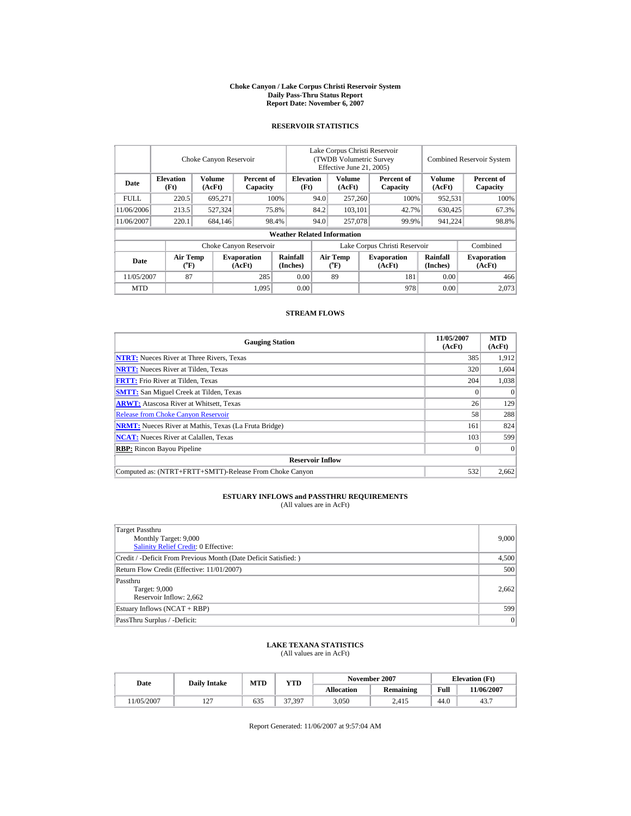#### **Choke Canyon / Lake Corpus Christi Reservoir System Daily Pass-Thru Status Report Report Date: November 6, 2007**

## **RESERVOIR STATISTICS**

|             | Choke Canyon Reservoir         |                         |                              |                                                    | Lake Corpus Christi Reservoir<br>(TWDB Volumetric Survey<br>Effective June 21, 2005) |                  |  |                              |                      | <b>Combined Reservoir System</b> |
|-------------|--------------------------------|-------------------------|------------------------------|----------------------------------------------------|--------------------------------------------------------------------------------------|------------------|--|------------------------------|----------------------|----------------------------------|
| Date        | <b>Elevation</b><br>(Ft)       | <b>Volume</b><br>(AcFt) |                              | <b>Elevation</b><br>Percent of<br>(Ft)<br>Capacity |                                                                                      | Volume<br>(AcFt) |  | Percent of<br>Capacity       | Volume<br>(AcFt)     | Percent of<br>Capacity           |
| <b>FULL</b> | 220.5                          | 695.271                 |                              | 100%                                               | 94.0                                                                                 | 257,260          |  | 100%                         | 952,531              | 100%                             |
| 11/06/2006  | 213.5                          | 527.324                 |                              | 75.8%                                              | 84.2                                                                                 | 103,101          |  | 42.7%                        | 630,425              | 67.3%                            |
| 11/06/2007  | 220.1                          | 684,146                 |                              | 98.4%                                              |                                                                                      | 94.0<br>257,078  |  | 99.9%                        | 941.224              | 98.8%                            |
|             |                                |                         |                              | <b>Weather Related Information</b>                 |                                                                                      |                  |  |                              |                      |                                  |
|             |                                |                         | Choke Canyon Reservoir       |                                                    | Lake Corpus Christi Reservoir                                                        |                  |  |                              |                      | Combined                         |
| Date        | Air Temp<br>$({}^o\mathrm{F})$ |                         | <b>Evaporation</b><br>(AcFt) | Rainfall<br>(Inches)                               | Air Temp<br>$({}^{\circ}\mathrm{F})$                                                 |                  |  | <b>Evaporation</b><br>(AcFt) | Rainfall<br>(Inches) | <b>Evaporation</b><br>(AcFt)     |
| 11/05/2007  | 87                             |                         | 285                          | 0.00                                               |                                                                                      | 89               |  | 181                          | 0.00                 | 466                              |
| <b>MTD</b>  |                                |                         | 1.095                        | 0.00                                               |                                                                                      |                  |  | 978                          | 0.00                 | 2.073                            |

### **STREAM FLOWS**

| <b>Gauging Station</b>                                       | 11/05/2007<br>(AcFt) | <b>MTD</b><br>(AcFt) |
|--------------------------------------------------------------|----------------------|----------------------|
| <b>NTRT:</b> Nueces River at Three Rivers, Texas             | 385                  | 1,912                |
| <b>NRTT:</b> Nueces River at Tilden, Texas                   | 320                  | 1,604                |
| <b>FRTT:</b> Frio River at Tilden, Texas                     | 204                  | 1,038                |
| <b>SMTT:</b> San Miguel Creek at Tilden, Texas               |                      | $\theta$             |
| <b>ARWT:</b> Atascosa River at Whitsett, Texas               | 26                   | 129                  |
| <b>Release from Choke Canyon Reservoir</b>                   | 58                   | 288                  |
| <b>NRMT:</b> Nueces River at Mathis, Texas (La Fruta Bridge) | 161                  | 824                  |
| <b>NCAT:</b> Nueces River at Calallen, Texas                 | 103                  | 599                  |
| <b>RBP:</b> Rincon Bayou Pipeline                            |                      | $\Omega$             |
| <b>Reservoir Inflow</b>                                      |                      |                      |
| Computed as: (NTRT+FRTT+SMTT)-Release From Choke Canyon      | 532                  | 2.662                |

# **ESTUARY INFLOWS and PASSTHRU REQUIREMENTS**<br>(All values are in AcFt)

| <b>Target Passthru</b><br>Monthly Target: 9,000                 | 9,000 |
|-----------------------------------------------------------------|-------|
| <b>Salinity Relief Credit: 0 Effective:</b>                     |       |
| Credit / -Deficit From Previous Month (Date Deficit Satisfied:) | 4,500 |
| Return Flow Credit (Effective: 11/01/2007)                      | 500   |
| Passthru                                                        |       |
| Target: 9,000                                                   | 2.662 |
| Reservoir Inflow: 2,662                                         |       |
| Estuary Inflows (NCAT + RBP)                                    | 599   |
| PassThru Surplus / -Deficit:                                    | 0     |

## **LAKE TEXANA STATISTICS**

(All values are in AcFt)

| Date      | <b>Daily Intake</b> | MTD | YTD    |                   | November 2007    |      | <b>Elevation</b> (Ft) |
|-----------|---------------------|-----|--------|-------------------|------------------|------|-----------------------|
|           |                     |     |        | <b>Allocation</b> | <b>Remaining</b> | Full | 1/06/2007             |
| 1/05/2007 | $\sim$<br>∸         | 635 | 37.397 | 3,050             | 2.415            | 44.0 | 43.7                  |

Report Generated: 11/06/2007 at 9:57:04 AM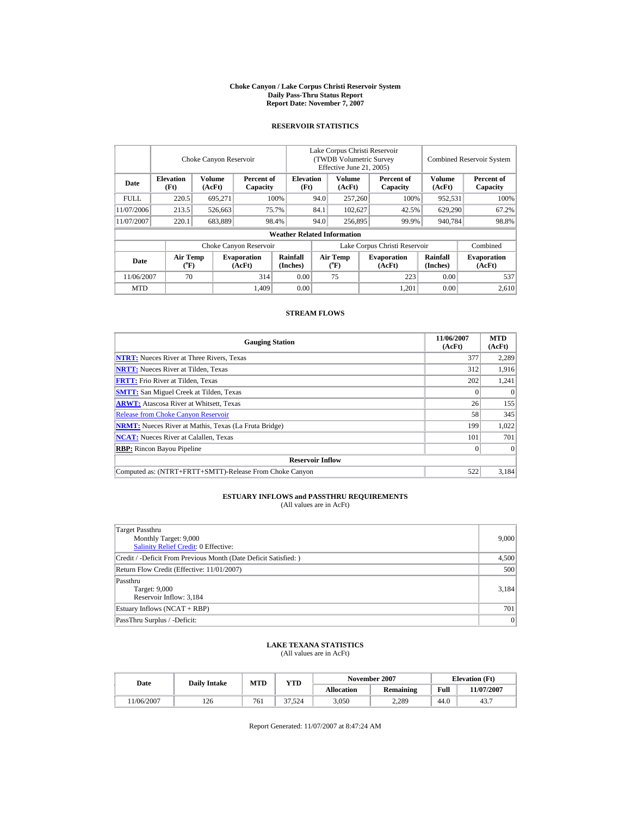#### **Choke Canyon / Lake Corpus Christi Reservoir System Daily Pass-Thru Status Report Report Date: November 7, 2007**

## **RESERVOIR STATISTICS**

|             | Choke Canyon Reservoir               |                         |                                                    |                                    | Lake Corpus Christi Reservoir<br>(TWDB Volumetric Survey<br>Effective June 21, 2005) |                  |  |                              |                         | <b>Combined Reservoir System</b> |
|-------------|--------------------------------------|-------------------------|----------------------------------------------------|------------------------------------|--------------------------------------------------------------------------------------|------------------|--|------------------------------|-------------------------|----------------------------------|
| Date        | <b>Elevation</b><br>(Ft)             | <b>Volume</b><br>(AcFt) | <b>Elevation</b><br>Percent of<br>(Ft)<br>Capacity |                                    |                                                                                      | Volume<br>(AcFt) |  | Percent of<br>Capacity       | <b>Volume</b><br>(AcFt) | Percent of<br>Capacity           |
| <b>FULL</b> | 220.5                                | 695.271                 |                                                    | 100%                               | 94.0                                                                                 | 257,260          |  | 100%                         | 952,531                 | 100%                             |
| 11/07/2006  | 213.5                                | 526,663                 |                                                    | 75.7%                              | 84.1                                                                                 | 102,627          |  | 42.5%                        | 629,290                 | 67.2%                            |
| 11/07/2007  | 220.1                                | 683,889                 |                                                    | 98.4%                              | 94.0                                                                                 | 256,895          |  | 99.9%                        | 940,784                 | 98.8%                            |
|             |                                      |                         |                                                    | <b>Weather Related Information</b> |                                                                                      |                  |  |                              |                         |                                  |
|             |                                      |                         | Choke Canyon Reservoir                             |                                    | Lake Corpus Christi Reservoir                                                        |                  |  |                              |                         | Combined                         |
| Date        | Air Temp<br>$({}^{\circ}\mathrm{F})$ |                         | <b>Evaporation</b><br>(AcFt)                       | Rainfall<br>(Inches)               | Air Temp<br>$(^{o}F)$                                                                |                  |  | <b>Evaporation</b><br>(AcFt) | Rainfall<br>(Inches)    | <b>Evaporation</b><br>(AcFt)     |
| 11/06/2007  | 70                                   |                         | 314                                                | 0.00                               |                                                                                      | 75               |  | 223                          | 0.00                    | 537                              |
| <b>MTD</b>  |                                      |                         | 1.409                                              | 0.00                               |                                                                                      |                  |  | 1.201                        | 0.00                    | 2.610                            |

### **STREAM FLOWS**

| <b>Gauging Station</b>                                       | 11/06/2007<br>(AcFt) | <b>MTD</b><br>(AcFt) |
|--------------------------------------------------------------|----------------------|----------------------|
| <b>NTRT:</b> Nueces River at Three Rivers, Texas             | 377                  | 2,289                |
| <b>NRTT:</b> Nueces River at Tilden, Texas                   | 312                  | 1,916                |
| <b>FRTT:</b> Frio River at Tilden, Texas                     | 202                  | 1,241                |
| <b>SMTT:</b> San Miguel Creek at Tilden, Texas               |                      | $\theta$             |
| <b>ARWT:</b> Atascosa River at Whitsett, Texas               | 26                   | 155                  |
| <b>Release from Choke Canyon Reservoir</b>                   | 58                   | 345                  |
| <b>NRMT:</b> Nueces River at Mathis, Texas (La Fruta Bridge) | 199                  | 1,022                |
| <b>NCAT:</b> Nueces River at Calallen, Texas                 | 101                  | 701                  |
| <b>RBP:</b> Rincon Bayou Pipeline                            |                      | $\Omega$             |
| <b>Reservoir Inflow</b>                                      |                      |                      |
| Computed as: (NTRT+FRTT+SMTT)-Release From Choke Canyon      | 522                  | 3.184                |

# **ESTUARY INFLOWS and PASSTHRU REQUIREMENTS**<br>(All values are in AcFt)

| <b>Target Passthru</b><br>Monthly Target: 9,000<br><b>Salinity Relief Credit: 0 Effective:</b> | 9,000 |
|------------------------------------------------------------------------------------------------|-------|
| Credit / -Deficit From Previous Month (Date Deficit Satisfied:)                                | 4,500 |
| Return Flow Credit (Effective: 11/01/2007)                                                     | 500   |
| Passthru<br>Target: 9,000<br>Reservoir Inflow: 3,184                                           | 3,184 |
| Estuary Inflows (NCAT + RBP)                                                                   | 701   |
| PassThru Surplus / -Deficit:                                                                   | 0     |

## **LAKE TEXANA STATISTICS**

(All values are in AcFt)

| Date      | <b>Daily Intake</b> | MTD | <b>YTD</b> |                   | November 2007    | <b>Elevation</b> (Ft) |            |
|-----------|---------------------|-----|------------|-------------------|------------------|-----------------------|------------|
|           |                     |     |            | <b>Allocation</b> | <b>Remaining</b> | Full                  | 11/07/2007 |
| 1/06/2007 | 126                 | 761 | 37.524     | 3,050             | 2.289            | 44.0                  | 43.7       |

Report Generated: 11/07/2007 at 8:47:24 AM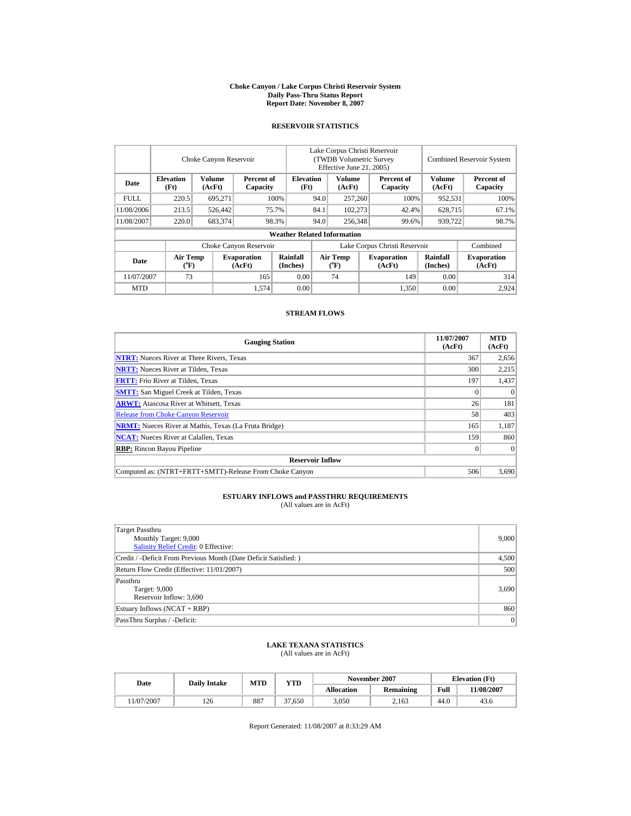#### **Choke Canyon / Lake Corpus Christi Reservoir System Daily Pass-Thru Status Report Report Date: November 8, 2007**

## **RESERVOIR STATISTICS**

|            | Choke Canyon Reservoir         |                  |                              |                                    | Lake Corpus Christi Reservoir<br>(TWDB Volumetric Survey)<br>Effective June 21, 2005) |                                    |                        |                              |                        | <b>Combined Reservoir System</b> |  |  |
|------------|--------------------------------|------------------|------------------------------|------------------------------------|---------------------------------------------------------------------------------------|------------------------------------|------------------------|------------------------------|------------------------|----------------------------------|--|--|
| Date       | <b>Elevation</b><br>(Ft)       | Volume<br>(AcFt) | Percent of<br>Capacity       | <b>Elevation</b><br>(Ft)           | <b>Volume</b><br>(AcFt)                                                               |                                    | Percent of<br>Capacity | Volume<br>(AcFt)             | Percent of<br>Capacity |                                  |  |  |
| FULL.      | 220.5                          | 695.271          |                              | 100%                               | 94.0                                                                                  | 257,260                            |                        | 100%                         | 952.531                | 100%                             |  |  |
| 11/08/2006 | 213.5                          | 526,442          |                              | 75.7%                              | 84.1                                                                                  |                                    | 102.273                | 42.4%                        | 628,715                | 67.1%                            |  |  |
| 11/08/2007 | 220.0                          | 683,374          |                              | 98.3%                              | 94.0                                                                                  | 256,348                            |                        | 99.6%                        | 939,722                | 98.7%                            |  |  |
|            |                                |                  |                              | <b>Weather Related Information</b> |                                                                                       |                                    |                        |                              |                        |                                  |  |  |
|            |                                |                  | Choke Canyon Reservoir       |                                    | Lake Corpus Christi Reservoir                                                         |                                    |                        |                              |                        | Combined                         |  |  |
| Date       | Air Temp<br>$({}^o\mathbf{F})$ |                  | <b>Evaporation</b><br>(AcFt) | Rainfall<br>(Inches)               |                                                                                       | Air Temp<br>$(^{\circ}\mathrm{F})$ |                        | <b>Evaporation</b><br>(AcFt) | Rainfall<br>(Inches)   | <b>Evaporation</b><br>(AcFt)     |  |  |
| 11/07/2007 | 73                             |                  | 165                          | 0.00                               |                                                                                       | 74                                 |                        | 149                          | 0.00                   | 314                              |  |  |
| <b>MTD</b> |                                |                  | 1,574                        | 0.00                               |                                                                                       |                                    |                        | 1,350                        | 0.00                   | 2.924                            |  |  |

### **STREAM FLOWS**

| <b>Gauging Station</b>                                       | 11/07/2007<br>(AcFt) | <b>MTD</b><br>(AcFt) |
|--------------------------------------------------------------|----------------------|----------------------|
| <b>NTRT:</b> Nueces River at Three Rivers, Texas             | 367                  | 2,656                |
| <b>NRTT:</b> Nueces River at Tilden, Texas                   | 300                  | 2,215                |
| <b>FRTT:</b> Frio River at Tilden, Texas                     | 197                  | 1,437                |
| <b>SMTT:</b> San Miguel Creek at Tilden, Texas               |                      | $\theta$             |
| <b>ARWT:</b> Atascosa River at Whitsett, Texas               | 26                   | 181                  |
| <b>Release from Choke Canyon Reservoir</b>                   | 58                   | 403                  |
| <b>NRMT:</b> Nueces River at Mathis, Texas (La Fruta Bridge) | 165                  | 1,187                |
| <b>NCAT:</b> Nueces River at Calallen, Texas                 | 159                  | 860                  |
| <b>RBP:</b> Rincon Bayou Pipeline                            |                      | $\Omega$             |
| <b>Reservoir Inflow</b>                                      |                      |                      |
| Computed as: (NTRT+FRTT+SMTT)-Release From Choke Canyon      | 506                  | 3.690                |

# **ESTUARY INFLOWS and PASSTHRU REQUIREMENTS**<br>(All values are in AcFt)

| Target Passthru<br>Monthly Target: 9,000<br>Salinity Relief Credit: 0 Effective: | 9,000 |
|----------------------------------------------------------------------------------|-------|
| Credit / -Deficit From Previous Month (Date Deficit Satisfied: )                 | 4,500 |
| Return Flow Credit (Effective: 11/01/2007)                                       | 500   |
| Passthru<br>Target: 9,000<br>Reservoir Inflow: 3,690                             | 3,690 |
| Estuary Inflows (NCAT + RBP)                                                     | 860   |
| PassThru Surplus / -Deficit:                                                     | 0     |

## **LAKE TEXANA STATISTICS**

(All values are in AcFt)

| Date       | <b>Daily Intake</b> | MTD | YTD    |                   | November 2007 |      | <b>Elevation</b> (Ft) |
|------------|---------------------|-----|--------|-------------------|---------------|------|-----------------------|
|            |                     |     |        | <b>Allocation</b> | Remaining     | Full | 1/08/2007             |
| 11/07/2007 | 126                 | 887 | 37.650 | 3,050             | 2.163         | 44.0 | 43.6                  |

Report Generated: 11/08/2007 at 8:33:29 AM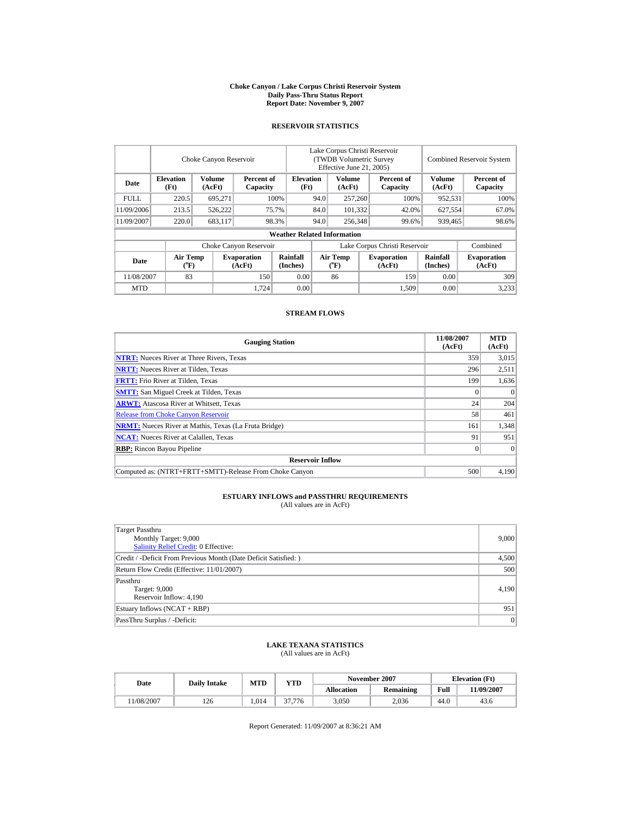#### **Choke Canyon / Lake Corpus Christi Reservoir System Daily Pass-Thru Status Report Report Date: November 9, 2007**

## **RESERVOIR STATISTICS**

|             | Choke Canyon Reservoir               |                         |                              |                                    | Lake Corpus Christi Reservoir<br>(TWDB Volumetric Survey<br>Effective June 21, 2005) |                       |         |                              |                         | <b>Combined Reservoir System</b> |
|-------------|--------------------------------------|-------------------------|------------------------------|------------------------------------|--------------------------------------------------------------------------------------|-----------------------|---------|------------------------------|-------------------------|----------------------------------|
| Date        | <b>Elevation</b><br>(Ft)             | <b>Volume</b><br>(AcFt) | Percent of<br>Capacity       | <b>Elevation</b><br>(Ft)           | Volume<br>(AcFt)                                                                     |                       |         | Percent of<br>Capacity       | <b>Volume</b><br>(AcFt) | Percent of<br>Capacity           |
| <b>FULL</b> | 220.5                                | 695.271                 |                              | 100%                               | 94.0                                                                                 | 257,260               |         | 100%                         | 952,531                 | 100%                             |
| 11/09/2006  | 213.5                                | 526,222                 |                              | 75.7%                              | 84.0                                                                                 |                       | 101.332 | 42.0%                        | 627,554                 | 67.0%                            |
| 11/09/2007  | 220.0                                | 683,117                 |                              | 98.3%                              | 94.0                                                                                 | 256,348               |         | 99.6%                        | 939,465                 | 98.6%                            |
|             |                                      |                         |                              | <b>Weather Related Information</b> |                                                                                      |                       |         |                              |                         |                                  |
|             |                                      |                         | Choke Canyon Reservoir       |                                    | Lake Corpus Christi Reservoir                                                        |                       |         |                              |                         | Combined                         |
| Date        | Air Temp<br>$({}^{\circ}\mathrm{F})$ |                         | <b>Evaporation</b><br>(AcFt) | Rainfall<br>(Inches)               |                                                                                      | Air Temp<br>$(^{o}F)$ |         | <b>Evaporation</b><br>(AcFt) | Rainfall<br>(Inches)    | <b>Evaporation</b><br>(AcFt)     |
| 11/08/2007  | 83                                   |                         | 150                          | 0.00                               |                                                                                      | 86                    |         | 159                          | 0.00                    | 309                              |
| <b>MTD</b>  |                                      |                         | 1.724                        | 0.00                               |                                                                                      |                       |         | 1.509                        | 0.00                    | 3,233                            |

### **STREAM FLOWS**

| <b>Gauging Station</b>                                       | 11/08/2007<br>(AcFt) | <b>MTD</b><br>(AcFt) |
|--------------------------------------------------------------|----------------------|----------------------|
| <b>NTRT:</b> Nueces River at Three Rivers, Texas             | 359                  | 3,015                |
| <b>NRTT:</b> Nueces River at Tilden, Texas                   | 296                  | 2,511                |
| <b>FRTT:</b> Frio River at Tilden, Texas                     | 199                  | 1,636                |
| <b>SMTT:</b> San Miguel Creek at Tilden, Texas               |                      | $\Omega$             |
| <b>ARWT:</b> Atascosa River at Whitsett, Texas               | 24                   | 204                  |
| <b>Release from Choke Canyon Reservoir</b>                   | 58                   | 461                  |
| <b>NRMT:</b> Nueces River at Mathis, Texas (La Fruta Bridge) | 161                  | 1,348                |
| <b>NCAT:</b> Nueces River at Calallen, Texas                 | 91                   | 951                  |
| <b>RBP:</b> Rincon Bayou Pipeline                            |                      | $\theta$             |
| <b>Reservoir Inflow</b>                                      |                      |                      |
| Computed as: (NTRT+FRTT+SMTT)-Release From Choke Canyon      | 500                  | 4.190                |

# **ESTUARY INFLOWS and PASSTHRU REQUIREMENTS**<br>(All values are in AcFt)

| <b>Target Passthru</b><br>Monthly Target: 9,000<br><b>Salinity Relief Credit: 0 Effective:</b> | 9,000 |
|------------------------------------------------------------------------------------------------|-------|
|                                                                                                |       |
| Credit / -Deficit From Previous Month (Date Deficit Satisfied:)                                | 4,500 |
| Return Flow Credit (Effective: 11/01/2007)                                                     | 500   |
| Passthru                                                                                       |       |
| Target: 9,000                                                                                  | 4,190 |
|                                                                                                |       |
| Reservoir Inflow: 4,190                                                                        |       |
| Estuary Inflows (NCAT + RBP)                                                                   | 951   |
| PassThru Surplus / -Deficit:                                                                   | 0     |

## **LAKE TEXANA STATISTICS**

(All values are in AcFt)

| Date      |     | <b>MTD</b><br>YTD<br><b>Daily Intake</b> |        |            | November 2007    | <b>Elevation</b> (Ft) |           |
|-----------|-----|------------------------------------------|--------|------------|------------------|-----------------------|-----------|
|           |     |                                          |        | Allocation | <b>Remaining</b> | Full                  | 1/09/2007 |
| 1/08/2007 | 126 | 1.014                                    | 37,776 | 3,050      | 2.036            | 44.0                  | 43.6      |

Report Generated: 11/09/2007 at 8:36:21 AM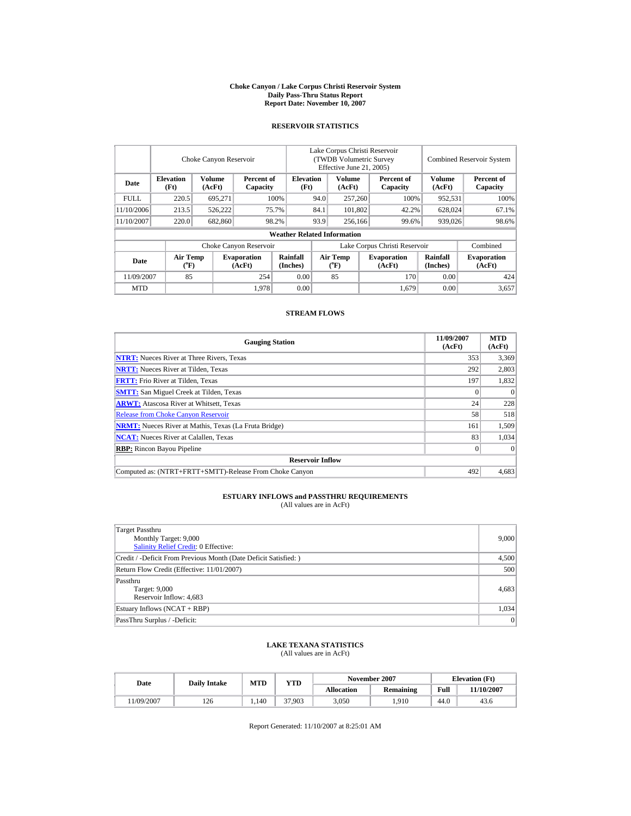#### **Choke Canyon / Lake Corpus Christi Reservoir System Daily Pass-Thru Status Report Report Date: November 10, 2007**

## **RESERVOIR STATISTICS**

|             | Choke Canyon Reservoir         |                         |                              |                                    | Lake Corpus Christi Reservoir<br>(TWDB Volumetric Survey<br>Effective June 21, 2005) |                                      |  |                              |                         | <b>Combined Reservoir System</b> |
|-------------|--------------------------------|-------------------------|------------------------------|------------------------------------|--------------------------------------------------------------------------------------|--------------------------------------|--|------------------------------|-------------------------|----------------------------------|
| Date        | <b>Elevation</b><br>(Ft)       | <b>Volume</b><br>(AcFt) | Percent of<br>Capacity       | <b>Elevation</b><br>(Ft)           |                                                                                      | <b>Volume</b><br>(AcFt)              |  | Percent of<br>Capacity       | <b>Volume</b><br>(AcFt) | Percent of<br>Capacity           |
| <b>FULL</b> | 220.5                          | 695.271                 |                              | 100%                               | 94.0                                                                                 | 257,260                              |  | 100%                         | 952,531                 | 100%                             |
| 11/10/2006  | 213.5                          | 526,222                 |                              | 75.7%                              | 84.1<br>101,802                                                                      |                                      |  | 42.2%                        | 628,024                 | 67.1%                            |
| 11/10/2007  | 220.0                          | 682,860                 |                              | 98.2%                              | 93.9                                                                                 | 256,166                              |  | 99.6%                        | 939,026                 | 98.6%                            |
|             |                                |                         |                              | <b>Weather Related Information</b> |                                                                                      |                                      |  |                              |                         |                                  |
|             |                                |                         | Choke Canyon Reservoir       |                                    | Lake Corpus Christi Reservoir                                                        |                                      |  |                              |                         | Combined                         |
| Date        | Air Temp<br>$({}^o\mathrm{F})$ |                         | <b>Evaporation</b><br>(AcFt) | Rainfall<br>(Inches)               |                                                                                      | Air Temp<br>$({}^{\circ}\mathrm{F})$ |  | <b>Evaporation</b><br>(AcFt) | Rainfall<br>(Inches)    | <b>Evaporation</b><br>(AcFt)     |
| 11/09/2007  | 85                             |                         | 254                          | 0.00                               |                                                                                      | 85                                   |  | 170                          | 0.00                    | 424                              |
| <b>MTD</b>  |                                |                         | 1.978                        | 0.00                               |                                                                                      |                                      |  | 1.679                        | 0.00                    | 3,657                            |

### **STREAM FLOWS**

| <b>Gauging Station</b>                                       | 11/09/2007<br>(AcFt) | <b>MTD</b><br>(AcFt) |
|--------------------------------------------------------------|----------------------|----------------------|
| <b>NTRT:</b> Nueces River at Three Rivers, Texas             | 353                  | 3,369                |
| <b>NRTT:</b> Nueces River at Tilden, Texas                   | 292                  | 2,803                |
| <b>FRTT:</b> Frio River at Tilden, Texas                     | 197                  | 1,832                |
| <b>SMTT:</b> San Miguel Creek at Tilden, Texas               |                      | $\theta$             |
| <b>ARWT:</b> Atascosa River at Whitsett, Texas               | 24                   | 228                  |
| <b>Release from Choke Canyon Reservoir</b>                   | 58                   | 518                  |
| <b>NRMT:</b> Nueces River at Mathis, Texas (La Fruta Bridge) | 161                  | 1,509                |
| <b>NCAT:</b> Nueces River at Calallen, Texas                 | 83                   | 1,034                |
| <b>RBP:</b> Rincon Bayou Pipeline                            |                      | $\theta$             |
| <b>Reservoir Inflow</b>                                      |                      |                      |
| Computed as: (NTRT+FRTT+SMTT)-Release From Choke Canyon      | 492                  | 4.683                |

# **ESTUARY INFLOWS and PASSTHRU REQUIREMENTS**<br>(All values are in AcFt)

| <b>Target Passthru</b><br>Monthly Target: 9,000<br><b>Salinity Relief Credit: 0 Effective:</b> | 9,000 |
|------------------------------------------------------------------------------------------------|-------|
| Credit / -Deficit From Previous Month (Date Deficit Satisfied:)                                | 4,500 |
| Return Flow Credit (Effective: 11/01/2007)                                                     | 500   |
| Passthru<br>Target: 9,000<br>Reservoir Inflow: 4,683                                           | 4,683 |
| Estuary Inflows (NCAT + RBP)                                                                   | 1,034 |
| PassThru Surplus / -Deficit:                                                                   | 0     |

## **LAKE TEXANA STATISTICS**

(All values are in AcFt)

| Date      |     | <b>MTD</b><br>YTD<br><b>Daily Intake</b> |        |            | November 2007    | <b>Elevation</b> (Ft) |           |
|-----------|-----|------------------------------------------|--------|------------|------------------|-----------------------|-----------|
|           |     |                                          |        | Allocation | <b>Remaining</b> | Full                  | 1/10/2007 |
| 1/09/2007 | 126 | 1.140                                    | 37.903 | 3.050      | .910             | 44.0                  | 43.6      |

Report Generated: 11/10/2007 at 8:25:01 AM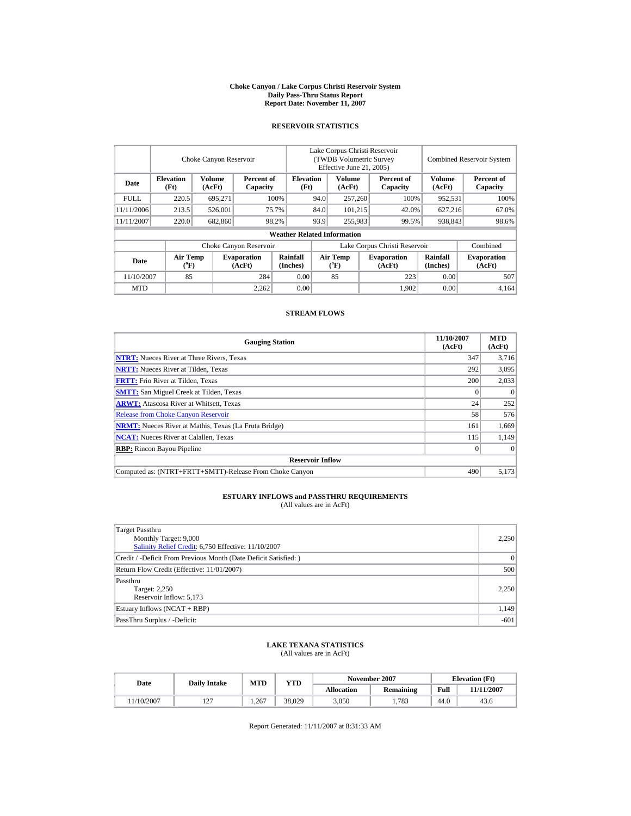#### **Choke Canyon / Lake Corpus Christi Reservoir System Daily Pass-Thru Status Report Report Date: November 11, 2007**

### **RESERVOIR STATISTICS**

|             | Choke Canyon Reservoir               |                         |                              |                                    | Lake Corpus Christi Reservoir<br>(TWDB Volumetric Survey<br>Effective June 21, 2005) |                       |  |                              |                         | <b>Combined Reservoir System</b> |  |  |
|-------------|--------------------------------------|-------------------------|------------------------------|------------------------------------|--------------------------------------------------------------------------------------|-----------------------|--|------------------------------|-------------------------|----------------------------------|--|--|
| Date        | <b>Elevation</b><br>(Ft)             | <b>Volume</b><br>(AcFt) | Percent of<br>Capacity       | <b>Elevation</b><br>(Ft)           |                                                                                      | Volume<br>(AcFt)      |  | Percent of<br>Capacity       | <b>Volume</b><br>(AcFt) | Percent of<br>Capacity           |  |  |
| <b>FULL</b> | 220.5                                | 695.271                 |                              | 100%                               | 94.0                                                                                 | 257,260               |  | 100%                         | 952,531                 | 100%                             |  |  |
| 11/11/2006  | 213.5                                | 526,001                 |                              | 75.7%                              | 84.0<br>101.215                                                                      |                       |  |                              | 627.216<br>42.0%        |                                  |  |  |
| 11/11/2007  | 220.0                                | 682,860                 |                              | 98.2%                              | 93.9                                                                                 | 255,983               |  | 99.5%                        | 938,843                 | 98.6%                            |  |  |
|             |                                      |                         |                              | <b>Weather Related Information</b> |                                                                                      |                       |  |                              |                         |                                  |  |  |
|             |                                      |                         | Choke Canyon Reservoir       |                                    | Lake Corpus Christi Reservoir                                                        |                       |  |                              |                         | Combined                         |  |  |
| Date        | Air Temp<br>$({}^{\circ}\mathrm{F})$ |                         | <b>Evaporation</b><br>(AcFt) | Rainfall<br>(Inches)               |                                                                                      | Air Temp<br>$(^{o}F)$ |  | <b>Evaporation</b><br>(AcFt) | Rainfall<br>(Inches)    | <b>Evaporation</b><br>(AcFt)     |  |  |
| 11/10/2007  | 85                                   |                         | 284                          | 0.00                               |                                                                                      | 85                    |  | 223                          | 0.00                    | 507                              |  |  |
| <b>MTD</b>  |                                      |                         | 2.262                        | 0.00                               |                                                                                      |                       |  | 1.902                        | 0.00                    | 4.164                            |  |  |

### **STREAM FLOWS**

| <b>Gauging Station</b>                                       | 11/10/2007<br>(AcFt) | <b>MTD</b><br>(AcFt) |
|--------------------------------------------------------------|----------------------|----------------------|
| <b>NTRT:</b> Nueces River at Three Rivers, Texas             | 347                  | 3,716                |
| <b>NRTT:</b> Nueces River at Tilden, Texas                   | 292                  | 3,095                |
| <b>FRTT:</b> Frio River at Tilden, Texas                     | 200                  | 2,033                |
| <b>SMTT:</b> San Miguel Creek at Tilden, Texas               |                      | $\theta$             |
| <b>ARWT:</b> Atascosa River at Whitsett, Texas               | 24                   | 252                  |
| <b>Release from Choke Canyon Reservoir</b>                   | 58                   | 576                  |
| <b>NRMT:</b> Nueces River at Mathis, Texas (La Fruta Bridge) | 161                  | 1,669                |
| <b>NCAT:</b> Nueces River at Calallen, Texas                 | 115                  | 1,149                |
| <b>RBP:</b> Rincon Bayou Pipeline                            |                      | $\theta$             |
| <b>Reservoir Inflow</b>                                      |                      |                      |
| Computed as: (NTRT+FRTT+SMTT)-Release From Choke Canyon      | 490                  | 5,173                |

#### **ESTUARY INFLOWS and PASSTHRU REQUIREMENTS** (All values are in AcFt)

Target Passthru Monthly Target: 9,000 [Salinity Relief Credit:](http://lighthouse.tamucc.edu/salrel) 6,750 Effective: 11/10/2007 2,250 Credit / -Deficit From Previous Month (Date Deficit Satisfied: ) 0 Return Flow Credit (Effective: 11/01/2007) 500 Passthru Target: 2,250 Reservoir Inflow: 5,173 2,250 Estuary Inflows (NCAT + RBP) 1,149 PassThru Surplus / -Deficit: -601

## **LAKE TEXANA STATISTICS**

(All values are in AcFt)

| Date      | <b>Daily Intake</b> | <b>MTD</b> | YTD    |                   | November 2007 |      | <b>Elevation</b> (Ft) |
|-----------|---------------------|------------|--------|-------------------|---------------|------|-----------------------|
|           |                     |            |        | <b>Allocation</b> | Remaining     | Full | 11/11/2007            |
| 1/10/2007 | .                   | 1.267      | 38.029 | 3,050             | 1.783         | 44.0 | 43.6                  |

Report Generated: 11/11/2007 at 8:31:33 AM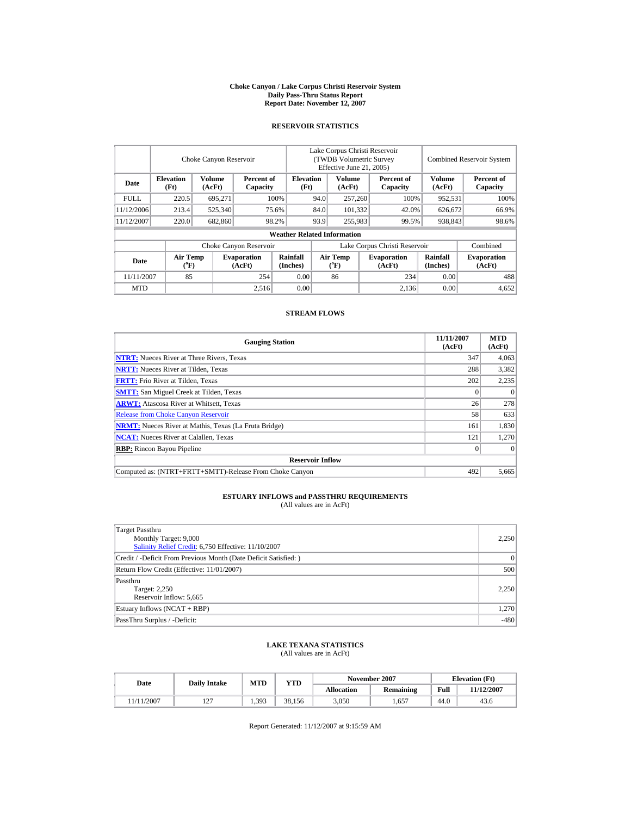#### **Choke Canyon / Lake Corpus Christi Reservoir System Daily Pass-Thru Status Report Report Date: November 12, 2007**

## **RESERVOIR STATISTICS**

|             |                                      | Choke Canyon Reservoir  |                              | Lake Corpus Christi Reservoir<br>(TWDB Volumetric Survey<br>Effective June 21, 2005) |                               |                                    |  | <b>Combined Reservoir System</b> |                         |                              |
|-------------|--------------------------------------|-------------------------|------------------------------|--------------------------------------------------------------------------------------|-------------------------------|------------------------------------|--|----------------------------------|-------------------------|------------------------------|
| Date        | <b>Elevation</b><br>(Ft)             | <b>Volume</b><br>(AcFt) | Percent of<br>Capacity       | <b>Elevation</b><br>(Ft)                                                             |                               | Volume<br>(AcFt)                   |  | Percent of<br>Capacity           | <b>Volume</b><br>(AcFt) | Percent of<br>Capacity       |
| <b>FULL</b> | 220.5                                | 695.271                 |                              | 100%                                                                                 | 94.0                          | 257,260                            |  | 100%                             | 952,531                 | 100%                         |
| 11/12/2006  | 213.4                                | 525,340                 |                              | 75.6%                                                                                | 84.0<br>101.332               |                                    |  | 42.0%                            | 626,672                 | 66.9%                        |
| 11/12/2007  | 220.0                                | 682,860                 |                              | 98.2%                                                                                | 93.9                          | 255,983                            |  | 938,843<br>99.5%                 |                         | 98.6%                        |
|             |                                      |                         |                              | <b>Weather Related Information</b>                                                   |                               |                                    |  |                                  |                         |                              |
|             |                                      |                         | Choke Canyon Reservoir       |                                                                                      | Lake Corpus Christi Reservoir |                                    |  |                                  |                         | Combined                     |
| Date        | Air Temp<br>$({}^{\circ}\mathrm{F})$ |                         | <b>Evaporation</b><br>(AcFt) | Rainfall<br>(Inches)                                                                 |                               | Air Temp<br>$({}^{\circ}\text{F})$ |  | <b>Evaporation</b><br>(AcFt)     | Rainfall<br>(Inches)    | <b>Evaporation</b><br>(AcFt) |
| 11/11/2007  | 85                                   |                         | 254                          | 0.00                                                                                 |                               | 86                                 |  | 234                              | 0.00                    | 488                          |
| <b>MTD</b>  |                                      |                         | 2,516                        | 0.00                                                                                 |                               |                                    |  | 2.136                            | 0.00                    | 4,652                        |

### **STREAM FLOWS**

| <b>Gauging Station</b>                                       | 11/11/2007<br>(AcFt) | <b>MTD</b><br>(AcFt) |
|--------------------------------------------------------------|----------------------|----------------------|
| <b>NTRT:</b> Nueces River at Three Rivers, Texas             | 347                  | 4,063                |
| <b>NRTT:</b> Nueces River at Tilden, Texas                   | 288                  | 3,382                |
| <b>FRTT:</b> Frio River at Tilden, Texas                     | 202                  | 2,235                |
| <b>SMTT:</b> San Miguel Creek at Tilden, Texas               |                      | $\theta$             |
| <b>ARWT:</b> Atascosa River at Whitsett, Texas               | 26                   | 278                  |
| <b>Release from Choke Canyon Reservoir</b>                   | 58                   | 633                  |
| <b>NRMT:</b> Nueces River at Mathis, Texas (La Fruta Bridge) | 161                  | 1,830                |
| <b>NCAT:</b> Nueces River at Calallen, Texas                 | 121                  | 1,270                |
| <b>RBP:</b> Rincon Bayou Pipeline                            |                      | $\theta$             |
| <b>Reservoir Inflow</b>                                      |                      |                      |
| Computed as: (NTRT+FRTT+SMTT)-Release From Choke Canvon      | 492                  | 5.665                |

# **ESTUARY INFLOWS and PASSTHRU REQUIREMENTS**<br>(All values are in AcFt)

| Target Passthru                                                  |           |
|------------------------------------------------------------------|-----------|
| Monthly Target: 9,000                                            | 2,250     |
| Salinity Relief Credit: 6,750 Effective: 11/10/2007              |           |
| Credit / -Deficit From Previous Month (Date Deficit Satisfied: ) | $\vert$ 0 |
| Return Flow Credit (Effective: 11/01/2007)                       | 500       |
| Passthru                                                         |           |
| Target: 2,250                                                    | 2,250     |
| Reservoir Inflow: 5,665                                          |           |
| Estuary Inflows (NCAT + RBP)                                     | 1,270     |
| PassThru Surplus / -Deficit:                                     | $-480$    |

## **LAKE TEXANA STATISTICS**

(All values are in AcFt)

| Date      | <b>Daily Intake</b>    | MTD   | <b>YTD</b> |                   | November 2007 |      | <b>Elevation</b> (Ft) |
|-----------|------------------------|-------|------------|-------------------|---------------|------|-----------------------|
|           |                        |       |            | <b>Allocation</b> | Remaining     | Full | 11/12/2007            |
| 1/11/2007 | ר ה<br>$\overline{12}$ | 1,393 | 38.156     | 3,050             | . .657        | 44.0 | 43.6                  |

Report Generated: 11/12/2007 at 9:15:59 AM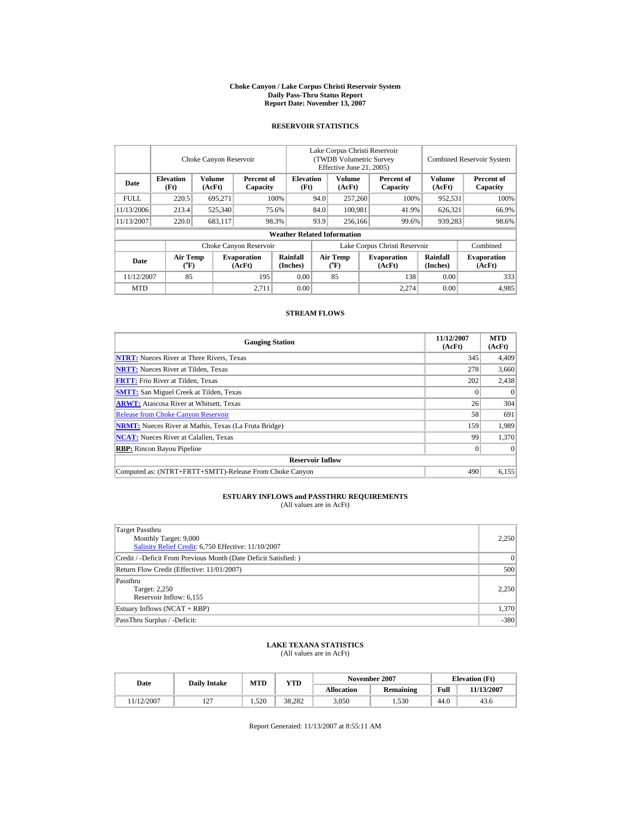#### **Choke Canyon / Lake Corpus Christi Reservoir System Daily Pass-Thru Status Report Report Date: November 13, 2007**

## **RESERVOIR STATISTICS**

|             |                             | Choke Canyon Reservoir |                              | Lake Corpus Christi Reservoir<br>(TWDB Volumetric Survey)<br>Effective June 21, 2005) |                               |                                      |  |                              | <b>Combined Reservoir System</b> |                              |  |
|-------------|-----------------------------|------------------------|------------------------------|---------------------------------------------------------------------------------------|-------------------------------|--------------------------------------|--|------------------------------|----------------------------------|------------------------------|--|
| Date        | <b>Elevation</b><br>(Ft)    | Volume<br>(AcFt)       | Percent of<br>Capacity       | <b>Elevation</b><br>(Ft)                                                              |                               | <b>Volume</b><br>(AcFt)              |  | Percent of<br>Capacity       | Volume<br>(AcFt)                 | Percent of<br>Capacity       |  |
| <b>FULL</b> | 220.5                       | 695.271                |                              | 100%                                                                                  | 94.0                          | 257,260                              |  | 100%                         | 952,531                          | 100%                         |  |
| 11/13/2006  | 213.4                       | 525,340                |                              | 75.6%                                                                                 | 84.0                          | 100.981                              |  | 41.9%<br>626,321             |                                  | 66.9%                        |  |
| 11/13/2007  | 220.0                       | 683,117                |                              | 98.3%                                                                                 | 93.9                          | 256,166                              |  | 99.6%                        | 939,283                          | 98.6%                        |  |
|             |                             |                        |                              | <b>Weather Related Information</b>                                                    |                               |                                      |  |                              |                                  |                              |  |
|             |                             |                        | Choke Canyon Reservoir       |                                                                                       | Lake Corpus Christi Reservoir |                                      |  |                              |                                  | Combined                     |  |
| Date        | Air Temp<br>$({}^{\circ}F)$ |                        | <b>Evaporation</b><br>(AcFt) | Rainfall<br>(Inches)                                                                  |                               | Air Temp<br>$({}^{\circ}\mathrm{F})$ |  | <b>Evaporation</b><br>(AcFt) | Rainfall<br>(Inches)             | <b>Evaporation</b><br>(AcFt) |  |
| 11/12/2007  | 85                          |                        | 195                          | 0.00                                                                                  |                               | 85                                   |  | 138                          | 0.00                             | 333                          |  |
| <b>MTD</b>  |                             |                        | 2.711                        | 0.00                                                                                  |                               |                                      |  | 2.274                        | 0.00                             | 4,985                        |  |

### **STREAM FLOWS**

| <b>Gauging Station</b>                                       | 11/12/2007<br>(AcFt) | <b>MTD</b><br>(AcFt) |
|--------------------------------------------------------------|----------------------|----------------------|
| <b>NTRT:</b> Nueces River at Three Rivers, Texas             | 345                  | 4,409                |
| <b>NRTT:</b> Nueces River at Tilden, Texas                   | 278                  | 3,660                |
| <b>FRTT:</b> Frio River at Tilden, Texas                     | 202                  | 2,438                |
| <b>SMTT:</b> San Miguel Creek at Tilden, Texas               |                      | $\theta$             |
| <b>ARWT:</b> Atascosa River at Whitsett, Texas               | 26                   | 304                  |
| <b>Release from Choke Canyon Reservoir</b>                   | 58                   | 691                  |
| <b>NRMT:</b> Nueces River at Mathis, Texas (La Fruta Bridge) | 159                  | 1,989                |
| <b>NCAT:</b> Nueces River at Calallen, Texas                 | 99                   | 1,370                |
| <b>RBP:</b> Rincon Bayou Pipeline                            |                      | $\theta$             |
| <b>Reservoir Inflow</b>                                      |                      |                      |
| Computed as: (NTRT+FRTT+SMTT)-Release From Choke Canvon      | 490                  | 6.155                |

# **ESTUARY INFLOWS and PASSTHRU REQUIREMENTS**<br>(All values are in AcFt)

| Target Passthru                                                 |          |
|-----------------------------------------------------------------|----------|
| Monthly Target: 9,000                                           | 2,250    |
| Salinity Relief Credit: 6,750 Effective: 11/10/2007             |          |
| Credit / -Deficit From Previous Month (Date Deficit Satisfied:) | $\Omega$ |
| Return Flow Credit (Effective: 11/01/2007)                      | 500      |
| Passthru                                                        |          |
| Target: 2,250                                                   | 2,250    |
| Reservoir Inflow: 6,155                                         |          |
| Estuary Inflows (NCAT + RBP)                                    | 1,370    |
| PassThru Surplus / -Deficit:                                    | $-380$   |

## **LAKE TEXANA STATISTICS**

(All values are in AcFt)

| Date      | <b>Daily Intake</b> | MTD   | <b>YTD</b> |                   | November 2007 | <b>Elevation</b> (Ft) |            |
|-----------|---------------------|-------|------------|-------------------|---------------|-----------------------|------------|
|           |                     |       |            | <b>Allocation</b> | Remaining     | Full                  | 11/13/2007 |
| 1/12/2007 | ר ה<br>14           | 1.520 | 38.282     | 3,050             | 1.530         | 44.0                  | 43.6       |

Report Generated: 11/13/2007 at 8:55:11 AM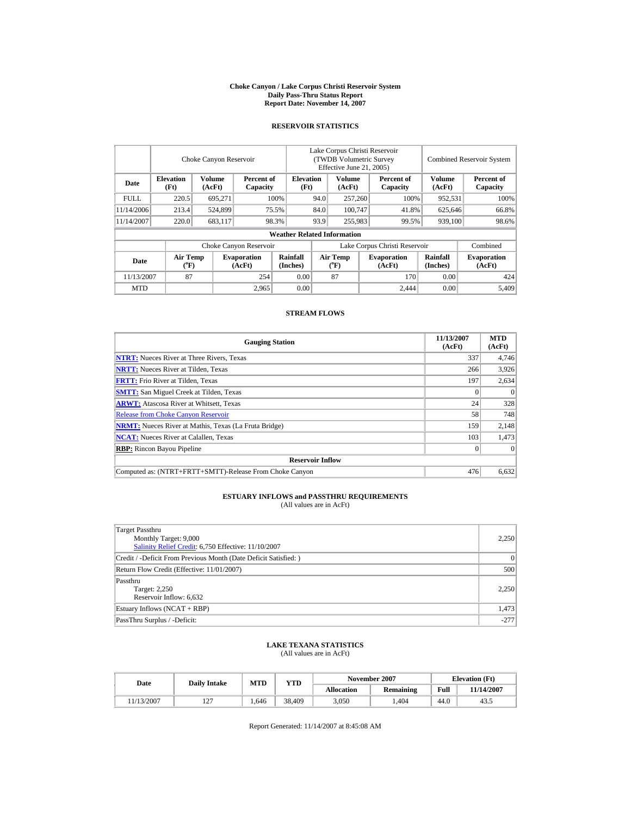#### **Choke Canyon / Lake Corpus Christi Reservoir System Daily Pass-Thru Status Report Report Date: November 14, 2007**

### **RESERVOIR STATISTICS**

|             | Choke Canyon Reservoir      |                  |                              |                                    | Lake Corpus Christi Reservoir<br>(TWDB Volumetric Survey<br>Effective June 21, 2005) |                                |  |                              |                             | <b>Combined Reservoir System</b> |  |  |
|-------------|-----------------------------|------------------|------------------------------|------------------------------------|--------------------------------------------------------------------------------------|--------------------------------|--|------------------------------|-----------------------------|----------------------------------|--|--|
| Date        | <b>Elevation</b><br>(Ft)    | Volume<br>(AcFt) | Percent of<br>Capacity       | <b>Elevation</b><br>(Ft)           |                                                                                      | <b>Volume</b><br>(AcFt)        |  | Percent of<br>Capacity       | <b>Volume</b><br>(AcFt)     | Percent of<br>Capacity           |  |  |
| <b>FULL</b> | 220.5                       | 695,271          |                              | 100%                               | 94.0                                                                                 | 257,260                        |  | 100%                         | 952,531                     | 100%                             |  |  |
| 11/14/2006  | 213.4                       | 524,899          |                              | 75.5%                              | 84.0                                                                                 | 100.747                        |  | 41.8%                        | 625,646                     | 66.8%                            |  |  |
| 11/14/2007  | 220.0                       | 683,117          |                              | 98.3%                              | 93.9                                                                                 | 255,983                        |  | 939,100<br>99.5%             |                             | 98.6%                            |  |  |
|             |                             |                  |                              | <b>Weather Related Information</b> |                                                                                      |                                |  |                              |                             |                                  |  |  |
|             |                             |                  | Choke Canyon Reservoir       |                                    | Lake Corpus Christi Reservoir                                                        |                                |  |                              |                             | Combined                         |  |  |
| Date        | Air Temp<br>$({}^{\circ}F)$ |                  | <b>Evaporation</b><br>(AcFt) | Rainfall<br>(Inches)               |                                                                                      | Air Temp<br>$({}^o\mathrm{F})$ |  | <b>Evaporation</b><br>(AcFt) | <b>Rainfall</b><br>(Inches) | <b>Evaporation</b><br>(AcFt)     |  |  |
| 11/13/2007  | 87                          |                  | 254                          | 0.00                               |                                                                                      | 87                             |  | 170                          | 0.00                        | 424                              |  |  |
| <b>MTD</b>  |                             |                  | 2.965                        | 0.00                               |                                                                                      |                                |  | 2.444                        | 0.00                        | 5,409                            |  |  |

### **STREAM FLOWS**

| <b>Gauging Station</b>                                       | 11/13/2007<br>(AcFt) | <b>MTD</b><br>(AcFt) |  |  |  |  |  |
|--------------------------------------------------------------|----------------------|----------------------|--|--|--|--|--|
| <b>NTRT:</b> Nueces River at Three Rivers, Texas             | 337                  | 4,746                |  |  |  |  |  |
| <b>NRTT:</b> Nueces River at Tilden, Texas                   | 266                  | 3,926                |  |  |  |  |  |
| <b>FRTT:</b> Frio River at Tilden, Texas                     | 197                  | 2,634                |  |  |  |  |  |
| <b>SMTT:</b> San Miguel Creek at Tilden, Texas               |                      | $\Omega$             |  |  |  |  |  |
| <b>ARWT:</b> Atascosa River at Whitsett, Texas               | 24                   | 328                  |  |  |  |  |  |
| <b>Release from Choke Canyon Reservoir</b>                   | 58                   | 748                  |  |  |  |  |  |
| <b>NRMT:</b> Nueces River at Mathis, Texas (La Fruta Bridge) | 159                  | 2,148                |  |  |  |  |  |
| <b>NCAT:</b> Nueces River at Calallen, Texas                 | 103                  | 1,473                |  |  |  |  |  |
| <b>RBP:</b> Rincon Bayou Pipeline                            |                      | $\theta$             |  |  |  |  |  |
| <b>Reservoir Inflow</b>                                      |                      |                      |  |  |  |  |  |
| Computed as: (NTRT+FRTT+SMTT)-Release From Choke Canyon      | 476                  | 6,632                |  |  |  |  |  |

#### **ESTUARY INFLOWS and PASSTHRU REQUIREMENTS** (All values are in AcFt)

Target Passthru Monthly Target: 9,000 [Salinity Relief Credit:](http://lighthouse.tamucc.edu/salrel) 6,750 Effective: 11/10/2007 2,250 Credit / -Deficit From Previous Month (Date Deficit Satisfied: ) 0 Return Flow Credit (Effective: 11/01/2007) 500 Passthru Target: 2,250 Reservoir Inflow: 6,632 2,250 Estuary Inflows (NCAT + RBP) 1,473 PassThru Surplus / -Deficit: -277

## **LAKE TEXANA STATISTICS**

(All values are in AcFt)

| Date       | <b>Daily Intake</b> | <b>MTD</b> | YTD    |                   | November 2007    | <b>Elevation</b> (Ft) |            |
|------------|---------------------|------------|--------|-------------------|------------------|-----------------------|------------|
|            |                     |            |        | <b>Allocation</b> | <b>Remaining</b> | Full                  | 11/14/2007 |
| 11/13/2007 | $\overline{ }$      | . 646      | 38.409 | 3,050             | .404             | 44.0                  | 43.5       |

Report Generated: 11/14/2007 at 8:45:08 AM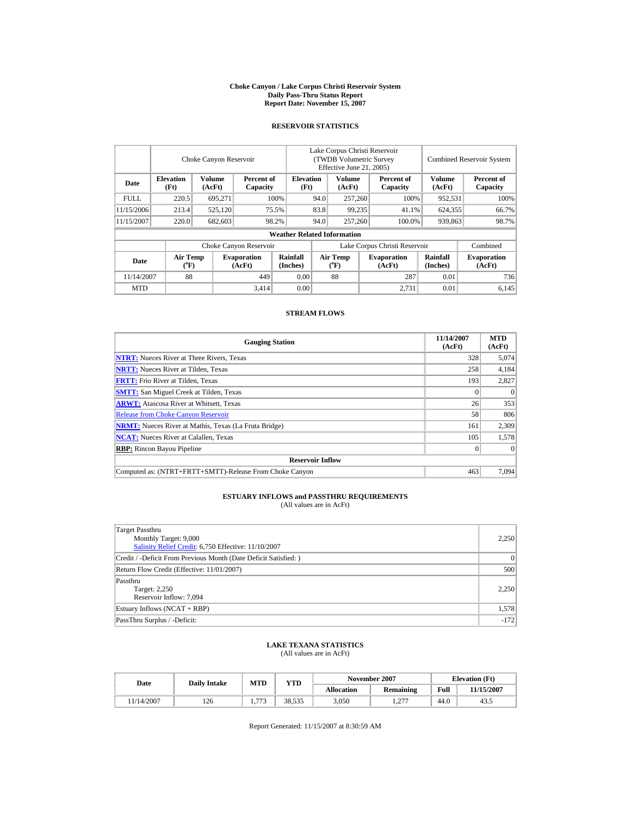#### **Choke Canyon / Lake Corpus Christi Reservoir System Daily Pass-Thru Status Report Report Date: November 15, 2007**

## **RESERVOIR STATISTICS**

|             | Choke Canyon Reservoir         |                         |                              |                                    | Lake Corpus Christi Reservoir<br>(TWDB Volumetric Survey<br>Effective June 21, 2005) |                                    |  |                               |                      | <b>Combined Reservoir System</b> |  |  |
|-------------|--------------------------------|-------------------------|------------------------------|------------------------------------|--------------------------------------------------------------------------------------|------------------------------------|--|-------------------------------|----------------------|----------------------------------|--|--|
| Date        | <b>Elevation</b><br>(Ft)       | <b>Volume</b><br>(AcFt) | Percent of<br>Capacity       | <b>Elevation</b><br>(Ft)           |                                                                                      | <b>Volume</b><br>(AcFt)            |  | Percent of<br>Capacity        | Volume<br>(AcFt)     | Percent of<br>Capacity           |  |  |
| <b>FULL</b> | 220.5                          | 695,271                 |                              | 100%                               | 94.0                                                                                 | 257,260                            |  | 100%                          | 952,531              | 100%                             |  |  |
| 11/15/2006  | 213.4                          | 525,120                 |                              | 75.5%                              | 83.8                                                                                 | 99.235                             |  | 41.1%                         | 624.355              | 66.7%                            |  |  |
| 11/15/2007  | 220.0                          | 682,603                 |                              | 98.2%                              | 94.0                                                                                 | 257,260                            |  | 100.0%                        | 939,863              | 98.7%                            |  |  |
|             |                                |                         |                              | <b>Weather Related Information</b> |                                                                                      |                                    |  |                               |                      |                                  |  |  |
|             |                                |                         | Choke Canyon Reservoir       |                                    |                                                                                      |                                    |  | Lake Corpus Christi Reservoir |                      | Combined                         |  |  |
| Date        | Air Temp<br>$({}^o\mathrm{F})$ |                         | <b>Evaporation</b><br>(AcFt) | Rainfall<br>(Inches)               |                                                                                      | Air Temp<br>$({}^{\circ}\text{F})$ |  | <b>Evaporation</b><br>(AcFt)  | Rainfall<br>(Inches) | <b>Evaporation</b><br>(AcFt)     |  |  |
| 11/14/2007  | 88                             |                         | 449                          | 0.00                               |                                                                                      | 88                                 |  | 287                           | 0.01                 | 736                              |  |  |
| <b>MTD</b>  |                                |                         | 3,414                        | 0.00                               |                                                                                      |                                    |  | 2.731                         | 0.01                 | 6.145                            |  |  |

### **STREAM FLOWS**

| <b>Gauging Station</b>                                       | 11/14/2007<br>(AcFt) | <b>MTD</b><br>(AcFt) |  |  |  |  |  |  |
|--------------------------------------------------------------|----------------------|----------------------|--|--|--|--|--|--|
| <b>NTRT:</b> Nueces River at Three Rivers, Texas             | 328                  | 5,074                |  |  |  |  |  |  |
| <b>NRTT:</b> Nueces River at Tilden, Texas                   | 258                  | 4,184                |  |  |  |  |  |  |
| <b>FRTT:</b> Frio River at Tilden, Texas                     | 193                  | 2,827                |  |  |  |  |  |  |
| <b>SMTT:</b> San Miguel Creek at Tilden, Texas               |                      | $\theta$             |  |  |  |  |  |  |
| <b>ARWT:</b> Atascosa River at Whitsett, Texas               | 26                   | 353                  |  |  |  |  |  |  |
| <b>Release from Choke Canyon Reservoir</b>                   | 58                   | 806                  |  |  |  |  |  |  |
| <b>NRMT:</b> Nueces River at Mathis, Texas (La Fruta Bridge) | 161                  | 2,309                |  |  |  |  |  |  |
| <b>NCAT:</b> Nueces River at Calallen, Texas                 | 105                  | 1,578                |  |  |  |  |  |  |
| <b>RBP:</b> Rincon Bayou Pipeline                            |                      | $\theta$             |  |  |  |  |  |  |
| <b>Reservoir Inflow</b>                                      |                      |                      |  |  |  |  |  |  |
| Computed as: (NTRT+FRTT+SMTT)-Release From Choke Canvon      | 463                  | 7.094                |  |  |  |  |  |  |

# **ESTUARY INFLOWS and PASSTHRU REQUIREMENTS**<br>(All values are in AcFt)

| Target Passthru                                                  |           |
|------------------------------------------------------------------|-----------|
| Monthly Target: 9,000                                            | 2,250     |
| Salinity Relief Credit: 6,750 Effective: 11/10/2007              |           |
| Credit / -Deficit From Previous Month (Date Deficit Satisfied: ) | $\vert$ 0 |
| Return Flow Credit (Effective: 11/01/2007)                       | 500       |
| Passthru                                                         |           |
| Target: 2,250                                                    | 2,250     |
| Reservoir Inflow: 7,094                                          |           |
| Estuary Inflows (NCAT + RBP)                                     | 1,578     |
| PassThru Surplus / -Deficit:                                     | $-172$    |

## **LAKE TEXANA STATISTICS**

(All values are in AcFt)

| Date      | <b>Daily Intake</b> | MTD            | <b>YTD</b> |                   | November 2007 | <b>Elevation</b> (Ft) |            |
|-----------|---------------------|----------------|------------|-------------------|---------------|-----------------------|------------|
|           |                     |                |            | <b>Allocation</b> | Remaining     | Full                  | 11/15/2007 |
| 1/14/2007 | 126                 | $\overline{a}$ | 38.535     | 3,050             | 277<br>.      | 44.0                  | 43.5       |

Report Generated: 11/15/2007 at 8:30:59 AM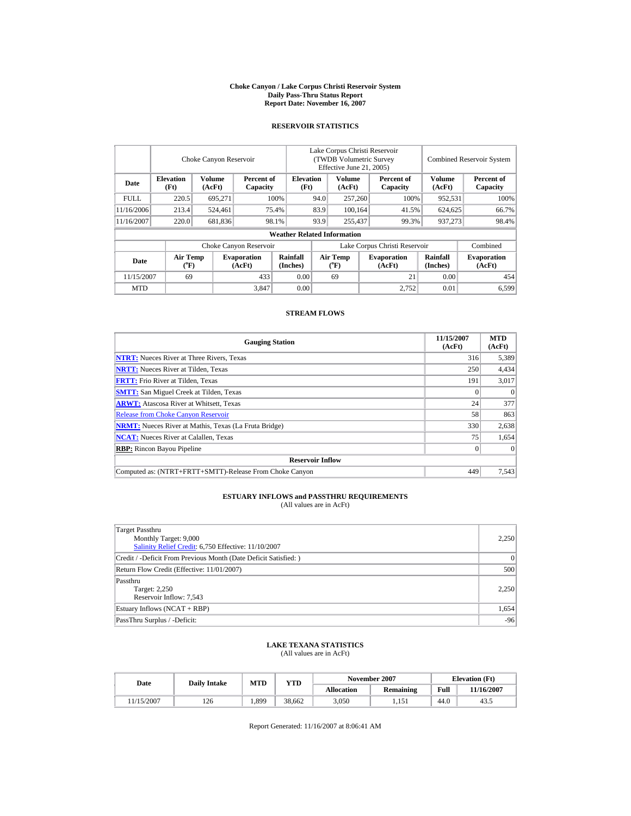#### **Choke Canyon / Lake Corpus Christi Reservoir System Daily Pass-Thru Status Report Report Date: November 16, 2007**

## **RESERVOIR STATISTICS**

|             | Choke Canyon Reservoir         |                         |                              |                                    | Lake Corpus Christi Reservoir<br>(TWDB Volumetric Survey<br>Effective June 21, 2005) |                                      |  |                              |                         | <b>Combined Reservoir System</b> |  |  |
|-------------|--------------------------------|-------------------------|------------------------------|------------------------------------|--------------------------------------------------------------------------------------|--------------------------------------|--|------------------------------|-------------------------|----------------------------------|--|--|
| Date        | <b>Elevation</b><br>(Ft)       | <b>Volume</b><br>(AcFt) | Percent of<br>Capacity       | <b>Elevation</b><br>(Ft)           |                                                                                      | <b>Volume</b><br>(AcFt)              |  | Percent of<br>Capacity       | <b>Volume</b><br>(AcFt) | Percent of<br>Capacity           |  |  |
| <b>FULL</b> | 220.5                          | 695.271                 |                              | 100%                               | 94.0                                                                                 | 257,260                              |  | 100%                         | 952,531                 | 100%                             |  |  |
| 11/16/2006  | 213.4                          | 524.461                 |                              | 75.4%                              | 83.9                                                                                 | 100.164                              |  | 41.5%                        | 624,625                 | 66.7%                            |  |  |
| 11/16/2007  | 220.0                          | 681,836                 |                              | 98.1%                              | 93.9                                                                                 | 255,437                              |  | 99.3%                        | 937,273                 | 98.4%                            |  |  |
|             |                                |                         |                              | <b>Weather Related Information</b> |                                                                                      |                                      |  |                              |                         |                                  |  |  |
|             |                                |                         | Choke Canyon Reservoir       |                                    | Lake Corpus Christi Reservoir                                                        |                                      |  |                              |                         | Combined                         |  |  |
| Date        | Air Temp<br>$({}^o\mathrm{F})$ |                         | <b>Evaporation</b><br>(AcFt) | Rainfall<br>(Inches)               |                                                                                      | Air Temp<br>$({}^{\circ}\mathrm{F})$ |  | <b>Evaporation</b><br>(AcFt) | Rainfall<br>(Inches)    | <b>Evaporation</b><br>(AcFt)     |  |  |
| 11/15/2007  | 69                             |                         | 433                          | 0.00                               |                                                                                      | 69                                   |  | 21                           | 0.00                    | 454                              |  |  |
| <b>MTD</b>  |                                |                         | 3,847                        | 0.00                               |                                                                                      |                                      |  | 2.752                        | 0.01                    | 6,599                            |  |  |

### **STREAM FLOWS**

| <b>Gauging Station</b>                                       | 11/15/2007<br>(AcFt) | <b>MTD</b><br>(AcFt) |  |  |  |  |  |  |
|--------------------------------------------------------------|----------------------|----------------------|--|--|--|--|--|--|
| <b>NTRT:</b> Nueces River at Three Rivers, Texas             | 316                  | 5,389                |  |  |  |  |  |  |
| <b>NRTT:</b> Nueces River at Tilden, Texas                   | 250                  | 4,434                |  |  |  |  |  |  |
| <b>FRTT:</b> Frio River at Tilden, Texas                     | 191                  | 3,017                |  |  |  |  |  |  |
| <b>SMTT:</b> San Miguel Creek at Tilden, Texas               |                      | $\theta$             |  |  |  |  |  |  |
| <b>ARWT:</b> Atascosa River at Whitsett, Texas               | 24                   | 377                  |  |  |  |  |  |  |
| <b>Release from Choke Canyon Reservoir</b>                   | 58                   | 863                  |  |  |  |  |  |  |
| <b>NRMT:</b> Nueces River at Mathis, Texas (La Fruta Bridge) | 330                  | 2,638                |  |  |  |  |  |  |
| <b>NCAT:</b> Nueces River at Calallen, Texas                 | 75                   | 1,654                |  |  |  |  |  |  |
| <b>RBP:</b> Rincon Bayou Pipeline                            |                      | $\theta$             |  |  |  |  |  |  |
| <b>Reservoir Inflow</b>                                      |                      |                      |  |  |  |  |  |  |
| Computed as: (NTRT+FRTT+SMTT)-Release From Choke Canvon      | 449                  | 7.543                |  |  |  |  |  |  |

# **ESTUARY INFLOWS and PASSTHRU REQUIREMENTS**<br>(All values are in AcFt)

| Target Passthru                                                  |           |
|------------------------------------------------------------------|-----------|
| Monthly Target: 9,000                                            | 2,250     |
| Salinity Relief Credit: 6,750 Effective: 11/10/2007              |           |
| Credit / -Deficit From Previous Month (Date Deficit Satisfied: ) | $\vert$ 0 |
| Return Flow Credit (Effective: 11/01/2007)                       | 500       |
| Passthru                                                         |           |
| Target: 2,250                                                    | 2,250     |
| Reservoir Inflow: 7,543                                          |           |
| Estuary Inflows (NCAT + RBP)                                     | 1,654     |
| PassThru Surplus / -Deficit:                                     | $-96$     |

## **LAKE TEXANA STATISTICS**

(All values are in AcFt)

| Date      | <b>Daily Intake</b> | MTD  | YTD    |                   | November 2007    |      | <b>Elevation</b> (Ft) |
|-----------|---------------------|------|--------|-------------------|------------------|------|-----------------------|
|           |                     |      |        | <b>Allocation</b> | <b>Remaining</b> | Full | 1/16/2007             |
| 1/15/2007 | 126                 | .399 | 38.662 | 3,050             | 1.151            | 44.0 | 43.5                  |

Report Generated: 11/16/2007 at 8:06:41 AM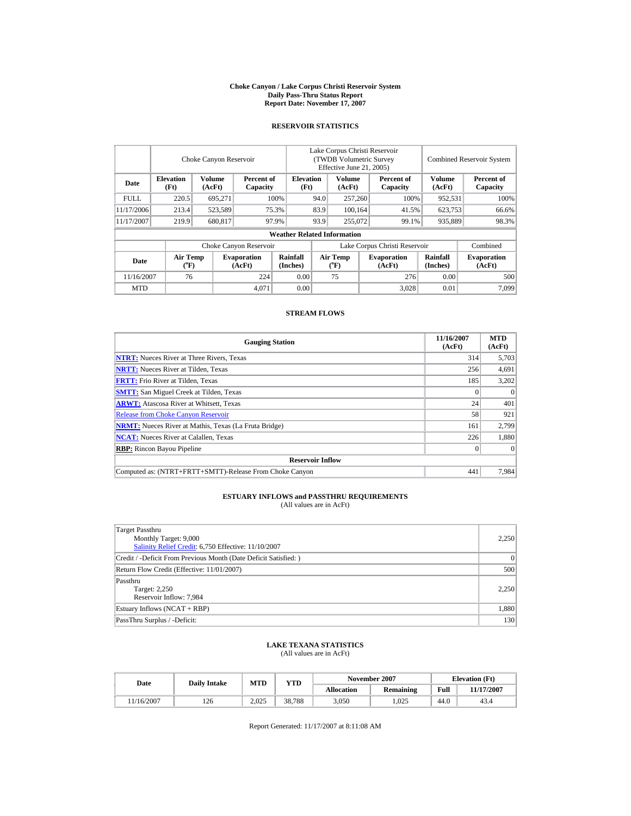#### **Choke Canyon / Lake Corpus Christi Reservoir System Daily Pass-Thru Status Report Report Date: November 17, 2007**

## **RESERVOIR STATISTICS**

|             |                                                                        | Choke Canyon Reservoir |                              |                                    | Lake Corpus Christi Reservoir<br>(TWDB Volumetric Survey)<br>Effective June 21, 2005) |                         |                        |                              |                             | <b>Combined Reservoir System</b> |  |  |
|-------------|------------------------------------------------------------------------|------------------------|------------------------------|------------------------------------|---------------------------------------------------------------------------------------|-------------------------|------------------------|------------------------------|-----------------------------|----------------------------------|--|--|
| Date        | Volume<br><b>Elevation</b><br>Percent of<br>(AcFt)<br>(Ft)<br>Capacity |                        |                              | <b>Elevation</b><br>(Ft)           |                                                                                       | <b>Volume</b><br>(AcFt) | Percent of<br>Capacity | Volume<br>(AcFt)             | Percent of<br>Capacity      |                                  |  |  |
| <b>FULL</b> | 220.5                                                                  | 695.271                |                              | 100%<br>94.0                       |                                                                                       | 257,260                 |                        | 100%                         | 952,531                     | 100%                             |  |  |
| 11/17/2006  | 213.4                                                                  | 523,589                |                              | 75.3%                              | 83.9                                                                                  |                         | 100.164                | 41.5%                        | 623,753                     | 66.6%                            |  |  |
| 11/17/2007  | 219.9                                                                  | 680,817                |                              | 97.9%                              | 93.9                                                                                  |                         | 255,072<br>99.1%       |                              | 935,889                     | 98.3%                            |  |  |
|             |                                                                        |                        |                              | <b>Weather Related Information</b> |                                                                                       |                         |                        |                              |                             |                                  |  |  |
|             |                                                                        |                        | Choke Canyon Reservoir       |                                    | Lake Corpus Christi Reservoir                                                         |                         |                        |                              |                             | Combined                         |  |  |
| Date        | Air Temp<br>$({}^{\circ}F)$                                            |                        | <b>Evaporation</b><br>(AcFt) | Rainfall<br>(Inches)               | Air Temp                                                                              |                         |                        | <b>Evaporation</b><br>(AcFt) | <b>Rainfall</b><br>(Inches) | <b>Evaporation</b><br>(AcFt)     |  |  |
|             | 76<br>0.00<br>11/16/2007<br>224                                        |                        |                              | 75                                 |                                                                                       | 276                     | 0.00                   | 500                          |                             |                                  |  |  |
| <b>MTD</b>  |                                                                        |                        | 4.071                        | 0.00                               |                                                                                       |                         |                        | 3.028                        | 0.01                        | 7,099                            |  |  |

### **STREAM FLOWS**

| <b>Gauging Station</b>                                       | 11/16/2007<br>(AcFt) | <b>MTD</b><br>(AcFt) |
|--------------------------------------------------------------|----------------------|----------------------|
| <b>NTRT:</b> Nueces River at Three Rivers, Texas             | 314                  | 5,703                |
| <b>NRTT:</b> Nueces River at Tilden, Texas                   | 256                  | 4,691                |
| <b>FRTT:</b> Frio River at Tilden, Texas                     | 185                  | 3,202                |
| <b>SMTT:</b> San Miguel Creek at Tilden, Texas               |                      | $\theta$             |
| <b>ARWT:</b> Atascosa River at Whitsett, Texas               | 24                   | 401                  |
| <b>Release from Choke Canyon Reservoir</b>                   | 58                   | 921                  |
| <b>NRMT:</b> Nueces River at Mathis, Texas (La Fruta Bridge) | 161                  | 2,799                |
| <b>NCAT:</b> Nueces River at Calallen, Texas                 | 226                  | 1,880                |
| <b>RBP:</b> Rincon Bayou Pipeline                            |                      | $\Omega$             |
| <b>Reservoir Inflow</b>                                      |                      |                      |
| Computed as: (NTRT+FRTT+SMTT)-Release From Choke Canyon      | 441                  | 7,984                |

# **ESTUARY INFLOWS and PASSTHRU REQUIREMENTS**<br>(All values are in AcFt)

| Target Passthru                                                  |           |
|------------------------------------------------------------------|-----------|
| Monthly Target: 9,000                                            | 2,250     |
| Salinity Relief Credit: 6,750 Effective: 11/10/2007              |           |
| Credit / -Deficit From Previous Month (Date Deficit Satisfied: ) | $\vert$ 0 |
| Return Flow Credit (Effective: 11/01/2007)                       | 500       |
| Passthru                                                         |           |
| Target: 2,250                                                    | 2,250     |
| Reservoir Inflow: 7,984                                          |           |
| Estuary Inflows (NCAT + RBP)                                     | 1,880     |
| PassThru Surplus / -Deficit:                                     | 130       |

## **LAKE TEXANA STATISTICS**

(All values are in AcFt)

| Date      | <b>Daily Intake</b> | MTD   | <b>YTD</b> |                   | November 2007    |      | <b>Elevation</b> (Ft) |
|-----------|---------------------|-------|------------|-------------------|------------------|------|-----------------------|
|           |                     |       |            | <b>Allocation</b> | <b>Remaining</b> | Full | 11/17/2007            |
| 1/16/2007 | 126                 | 2.025 | 38.788     | 3,050             | .025             | 44.0 | 43.4                  |

Report Generated: 11/17/2007 at 8:11:08 AM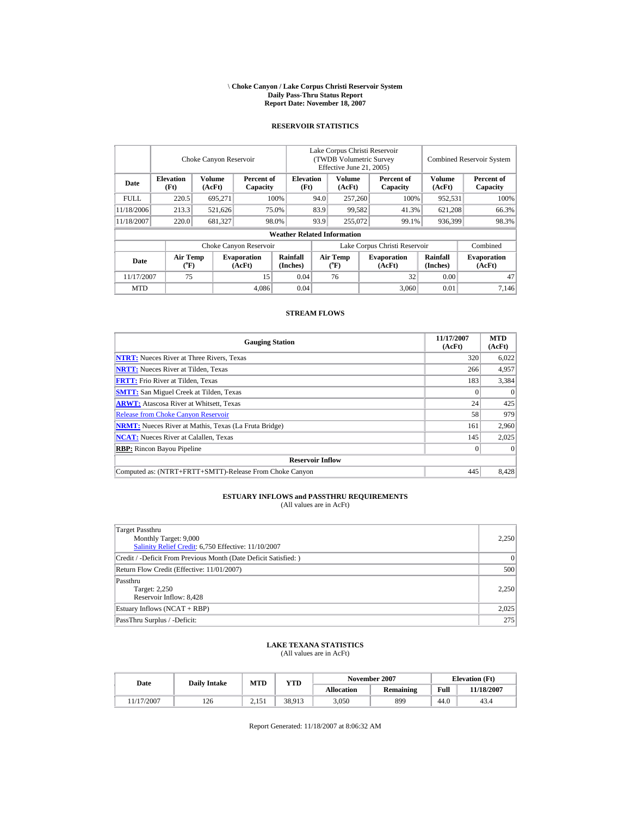#### \ **Choke Canyon / Lake Corpus Christi Reservoir System Daily Pass-Thru Status Report Report Date: November 18, 2007**

### **RESERVOIR STATISTICS**

|             |                             | Choke Canyon Reservoir |                              |                                    | Lake Corpus Christi Reservoir<br>(TWDB Volumetric Survey<br>Effective June 21, 2005) |                           |  |                              |                      | <b>Combined Reservoir System</b> |  |  |
|-------------|-----------------------------|------------------------|------------------------------|------------------------------------|--------------------------------------------------------------------------------------|---------------------------|--|------------------------------|----------------------|----------------------------------|--|--|
| Date        | <b>Elevation</b><br>(Ft)    | Volume<br>(AcFt)       | Percent of<br>Capacity       | <b>Elevation</b><br>(Ft)           |                                                                                      | <b>Volume</b><br>(AcFt)   |  | Percent of<br>Capacity       | Volume<br>(AcFt)     | Percent of<br>Capacity           |  |  |
| <b>FULL</b> | 220.5                       | 695.271                |                              | 100%                               | 94.0                                                                                 | 257,260                   |  | 100%                         | 952,531              | 100%                             |  |  |
| 11/18/2006  | 213.3                       | 521.626                |                              | 75.0%                              | 83.9                                                                                 | 99.582                    |  | 41.3%                        | 621.208              | 66.3%                            |  |  |
| 11/18/2007  | 220.0                       | 681,327                |                              | 98.0%                              | 93.9                                                                                 | 255,072                   |  | 99.1%                        | 936,399              | 98.3%                            |  |  |
|             |                             |                        |                              | <b>Weather Related Information</b> |                                                                                      |                           |  |                              |                      |                                  |  |  |
|             |                             |                        | Choke Canyon Reservoir       |                                    | Lake Corpus Christi Reservoir                                                        |                           |  |                              |                      | Combined                         |  |  |
| Date        | Air Temp<br>$({}^{\circ}F)$ |                        | <b>Evaporation</b><br>(AcFt) | Rainfall<br>(Inches)               |                                                                                      | Air Temp<br>$(^{\circ}F)$ |  | <b>Evaporation</b><br>(AcFt) | Rainfall<br>(Inches) | <b>Evaporation</b><br>(AcFt)     |  |  |
| 11/17/2007  | 75                          |                        | 15                           | 0.04                               |                                                                                      | 76                        |  | 32                           | 0.00                 | 47                               |  |  |
| <b>MTD</b>  |                             |                        | 4.086                        | 0.04                               |                                                                                      |                           |  | 3.060                        | 0.01                 | 7.146                            |  |  |

#### **STREAM FLOWS**

| <b>Gauging Station</b>                                       | 11/17/2007<br>(AcFt) | <b>MTD</b><br>(AcFt) |
|--------------------------------------------------------------|----------------------|----------------------|
| <b>NTRT:</b> Nueces River at Three Rivers, Texas             | 320                  | 6,022                |
| <b>NRTT:</b> Nueces River at Tilden, Texas                   | 266                  | 4,957                |
| <b>FRTT:</b> Frio River at Tilden, Texas                     | 183                  | 3,384                |
| <b>SMTT:</b> San Miguel Creek at Tilden, Texas               |                      | $\theta$             |
| <b>ARWT:</b> Atascosa River at Whitsett, Texas               | 24                   | 425                  |
| <b>Release from Choke Canyon Reservoir</b>                   | 58                   | 979                  |
| <b>NRMT:</b> Nueces River at Mathis, Texas (La Fruta Bridge) | 161                  | 2,960                |
| <b>NCAT:</b> Nueces River at Calallen, Texas                 | 145                  | 2,025                |
| <b>RBP:</b> Rincon Bayou Pipeline                            |                      | $\Omega$             |
| <b>Reservoir Inflow</b>                                      |                      |                      |
| Computed as: (NTRT+FRTT+SMTT)-Release From Choke Canvon      | 445                  | 8.428                |

#### **ESTUARY INFLOWS and PASSTHRU REQUIREMENTS** (All values are in AcFt)

Target Passthru Monthly Target: 9,000 [Salinity Relief Credit:](http://lighthouse.tamucc.edu/salrel) 6,750 Effective: 11/10/2007 2,250 Credit / -Deficit From Previous Month (Date Deficit Satisfied: ) 0 Return Flow Credit (Effective: 11/01/2007) 500 Passthru Target: 2,250 Reservoir Inflow: 8,428 2,250 Estuary Inflows (NCAT + RBP) 2,025 PassThru Surplus / -Deficit: 275

## **LAKE TEXANA STATISTICS**

(All values are in AcFt)

| Date      | <b>Daily Intake</b> | MTD   | YTD    |                   | November 2007 |      | <b>Elevation</b> (Ft) |
|-----------|---------------------|-------|--------|-------------------|---------------|------|-----------------------|
|           |                     |       |        | <b>Allocation</b> | Remaining     | Full | <b>11/18/2007</b>     |
| 1/17/2007 | 126                 | 2.151 | 38,913 | 3,050             | 899           | 44.0 | 43.4                  |

Report Generated: 11/18/2007 at 8:06:32 AM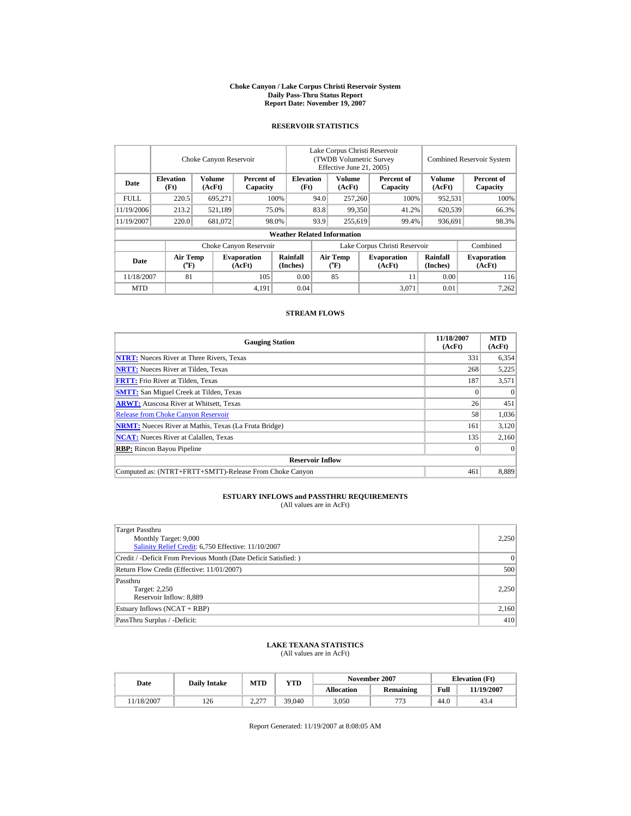#### **Choke Canyon / Lake Corpus Christi Reservoir System Daily Pass-Thru Status Report Report Date: November 19, 2007**

## **RESERVOIR STATISTICS**

| Lake Corpus Christi Reservoir<br>Choke Canyon Reservoir<br>(TWDB Volumetric Survey<br>Effective June 21, 2005) |                             |                  |                                                    |                                    |                                |                  |                        | <b>Combined Reservoir System</b> |                             |                              |
|----------------------------------------------------------------------------------------------------------------|-----------------------------|------------------|----------------------------------------------------|------------------------------------|--------------------------------|------------------|------------------------|----------------------------------|-----------------------------|------------------------------|
| Volume<br><b>Elevation</b><br>Date<br>(Ft)<br>(AcFt)                                                           |                             |                  | <b>Elevation</b><br>Percent of<br>(Ft)<br>Capacity |                                    | <b>Volume</b><br>(AcFt)        |                  | Percent of<br>Capacity | <b>Volume</b><br>(AcFt)          | Percent of<br>Capacity      |                              |
| <b>FULL</b>                                                                                                    | 220.5                       | 695,271          |                                                    | 100%                               | 94.0<br>257,260                |                  |                        | 100%                             | 952,531                     | 100%                         |
| 11/19/2006                                                                                                     | 213.2                       | 521,189          |                                                    | 75.0%                              | 83.8                           | 99,350           |                        | 41.2%                            | 620.539                     | 66.3%                        |
| 11/19/2007                                                                                                     | 220.0                       | 681,072<br>98.0% |                                                    | 93.9                               |                                | 255,619<br>99.4% |                        | 936,691                          | 98.3%                       |                              |
|                                                                                                                |                             |                  |                                                    | <b>Weather Related Information</b> |                                |                  |                        |                                  |                             |                              |
|                                                                                                                |                             |                  | Choke Canyon Reservoir                             |                                    |                                |                  |                        | Lake Corpus Christi Reservoir    |                             | Combined                     |
| Date                                                                                                           | Air Temp<br>$({}^{\circ}F)$ |                  | <b>Evaporation</b><br>(AcFt)                       | Rainfall<br>(Inches)               | Air Temp<br>$({}^o\mathrm{F})$ |                  |                        | <b>Evaporation</b><br>(AcFt)     | <b>Rainfall</b><br>(Inches) | <b>Evaporation</b><br>(AcFt) |
| 11/18/2007<br>81                                                                                               |                             | 105              | 0.00                                               |                                    | 85                             |                  | 11                     | 0.00                             | 116                         |                              |
| <b>MTD</b>                                                                                                     |                             |                  | 4,191                                              | 0.04                               |                                |                  |                        | 3.071                            | 0.01                        | 7,262                        |

### **STREAM FLOWS**

| <b>Gauging Station</b>                                       | 11/18/2007<br>(AcFt) | <b>MTD</b><br>(AcFt) |
|--------------------------------------------------------------|----------------------|----------------------|
| <b>NTRT:</b> Nueces River at Three Rivers, Texas             | 331                  | 6,354                |
| <b>NRTT:</b> Nueces River at Tilden, Texas                   | 268                  | 5,225                |
| <b>FRTT:</b> Frio River at Tilden, Texas                     | 187                  | 3,571                |
| <b>SMTT:</b> San Miguel Creek at Tilden, Texas               |                      | $\theta$             |
| <b>ARWT:</b> Atascosa River at Whitsett, Texas               | 26                   | 451                  |
| <b>Release from Choke Canyon Reservoir</b>                   | 58                   | 1,036                |
| <b>NRMT:</b> Nueces River at Mathis, Texas (La Fruta Bridge) | 161                  | 3,120                |
| <b>NCAT:</b> Nueces River at Calallen, Texas                 | 135                  | 2,160                |
| <b>RBP:</b> Rincon Bayou Pipeline                            |                      | $\theta$             |
| <b>Reservoir Inflow</b>                                      |                      |                      |
| Computed as: (NTRT+FRTT+SMTT)-Release From Choke Canvon      | 461                  | 8,889                |

# **ESTUARY INFLOWS and PASSTHRU REQUIREMENTS**<br>(All values are in AcFt)

| Target Passthru                                                  |           |
|------------------------------------------------------------------|-----------|
| Monthly Target: 9,000                                            | 2,250     |
| Salinity Relief Credit: 6,750 Effective: 11/10/2007              |           |
| Credit / -Deficit From Previous Month (Date Deficit Satisfied: ) | $\vert$ 0 |
| Return Flow Credit (Effective: 11/01/2007)                       | 500       |
| Passthru                                                         |           |
| Target: 2,250                                                    | 2,250     |
| Reservoir Inflow: 8,889                                          |           |
| Estuary Inflows (NCAT + RBP)                                     | 2,160     |
| PassThru Surplus / -Deficit:                                     | 410       |

## **LAKE TEXANA STATISTICS**

(All values are in AcFt)

| Date       | <b>Daily Intake</b> | MTD                              | <b>YTD</b> |                   | November 2007 | <b>Elevation</b> (Ft) |            |
|------------|---------------------|----------------------------------|------------|-------------------|---------------|-----------------------|------------|
|            |                     |                                  |            | <b>Allocation</b> | Remaining     | Full                  | 11/19/2007 |
| 11/18/2007 | 126                 | 2.27<br>$\overline{\phantom{m}}$ | 39.040     | 3,050             | 772           | 44.0                  | 43.4       |

Report Generated: 11/19/2007 at 8:08:05 AM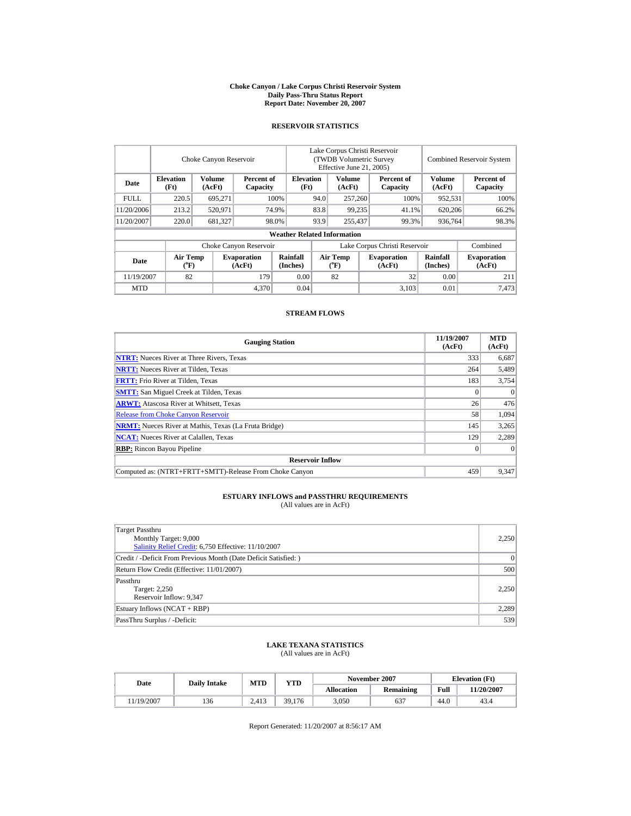#### **Choke Canyon / Lake Corpus Christi Reservoir System Daily Pass-Thru Status Report Report Date: November 20, 2007**

### **RESERVOIR STATISTICS**

|             |                             | Choke Canyon Reservoir |                              | Lake Corpus Christi Reservoir<br>(TWDB Volumetric Survey)<br>Effective June 21, 2005) |                          |                                      |                  |                               | <b>Combined Reservoir System</b> |                              |  |
|-------------|-----------------------------|------------------------|------------------------------|---------------------------------------------------------------------------------------|--------------------------|--------------------------------------|------------------|-------------------------------|----------------------------------|------------------------------|--|
| Date        | <b>Elevation</b><br>(Ft)    | Volume<br>(AcFt)       | Percent of<br>Capacity       |                                                                                       | <b>Elevation</b><br>(Ft) | <b>Volume</b><br>(AcFt)              |                  | Percent of<br>Capacity        | Volume<br>(AcFt)                 | Percent of<br>Capacity       |  |
| <b>FULL</b> | 220.5                       | 695.271                |                              | 100%                                                                                  | 94.0                     | 257,260                              |                  | 100%                          | 952,531                          | 100%                         |  |
| 11/20/2006  | 213.2                       | 520,971                |                              | 74.9%                                                                                 | 83.8                     | 99.235                               |                  | 41.1%                         | 620,206                          | 66.2%                        |  |
| 11/20/2007  | 220.0                       | 681,327                |                              | 98.0%                                                                                 | 93.9                     |                                      | 255,437<br>99.3% |                               | 936,764                          | 98.3%                        |  |
|             |                             |                        |                              | <b>Weather Related Information</b>                                                    |                          |                                      |                  |                               |                                  |                              |  |
|             |                             |                        | Choke Canyon Reservoir       |                                                                                       |                          |                                      |                  | Lake Corpus Christi Reservoir |                                  | Combined                     |  |
| Date        | Air Temp<br>$({}^{\circ}F)$ |                        | <b>Evaporation</b><br>(AcFt) | Rainfall<br>(Inches)                                                                  |                          | Air Temp<br>$({}^{\circ}\mathrm{F})$ |                  | <b>Evaporation</b><br>(AcFt)  | <b>Rainfall</b><br>(Inches)      | <b>Evaporation</b><br>(AcFt) |  |
| 11/19/2007  | 82                          |                        | 179                          | 0.00                                                                                  |                          | 82                                   |                  | 32                            | 0.00                             | 211                          |  |
| <b>MTD</b>  |                             |                        | 4,370                        | 0.04                                                                                  |                          |                                      |                  | 3.103                         | 0.01                             | 7,473                        |  |

### **STREAM FLOWS**

| <b>Gauging Station</b>                                       | 11/19/2007<br>(AcFt) | <b>MTD</b><br>(AcFt) |
|--------------------------------------------------------------|----------------------|----------------------|
| <b>NTRT:</b> Nueces River at Three Rivers, Texas             | 333                  | 6,687                |
| <b>NRTT:</b> Nueces River at Tilden, Texas                   | 264                  | 5,489                |
| <b>FRTT:</b> Frio River at Tilden, Texas                     | 183                  | 3,754                |
| <b>SMTT:</b> San Miguel Creek at Tilden, Texas               |                      | $\theta$             |
| <b>ARWT:</b> Atascosa River at Whitsett, Texas               | 26                   | 476                  |
| <b>Release from Choke Canyon Reservoir</b>                   | 58                   | 1,094                |
| <b>NRMT:</b> Nueces River at Mathis, Texas (La Fruta Bridge) | 145                  | 3,265                |
| <b>NCAT:</b> Nueces River at Calallen, Texas                 | 129                  | 2,289                |
| <b>RBP:</b> Rincon Bayou Pipeline                            |                      | $\Omega$             |
| <b>Reservoir Inflow</b>                                      |                      |                      |
| Computed as: (NTRT+FRTT+SMTT)-Release From Choke Canvon      | 459                  | 9,347                |

#### **ESTUARY INFLOWS and PASSTHRU REQUIREMENTS** (All values are in AcFt)

Target Passthru Monthly Target: 9,000 [Salinity Relief Credit:](http://lighthouse.tamucc.edu/salrel) 6,750 Effective: 11/10/2007 2,250 Credit / -Deficit From Previous Month (Date Deficit Satisfied: ) 0 Return Flow Credit (Effective: 11/01/2007) 500 Passthru Target: 2,250 Reservoir Inflow: 9,347 2,250 Estuary Inflows (NCAT + RBP) 2,289 PassThru Surplus / -Deficit: 539

## **LAKE TEXANA STATISTICS**

(All values are in AcFt)

| Date       | <b>Daily Intake</b> | MTD   | YTD    |                   | November 2007 | <b>Elevation</b> (Ft) |            |
|------------|---------------------|-------|--------|-------------------|---------------|-----------------------|------------|
|            |                     |       |        | <b>Allocation</b> | Remaining     | Full                  | 11/20/2007 |
| 11/19/2007 | 136                 | 2.413 | 39,176 | 3,050             | 637           | 44.0                  | 43.4       |

Report Generated: 11/20/2007 at 8:56:17 AM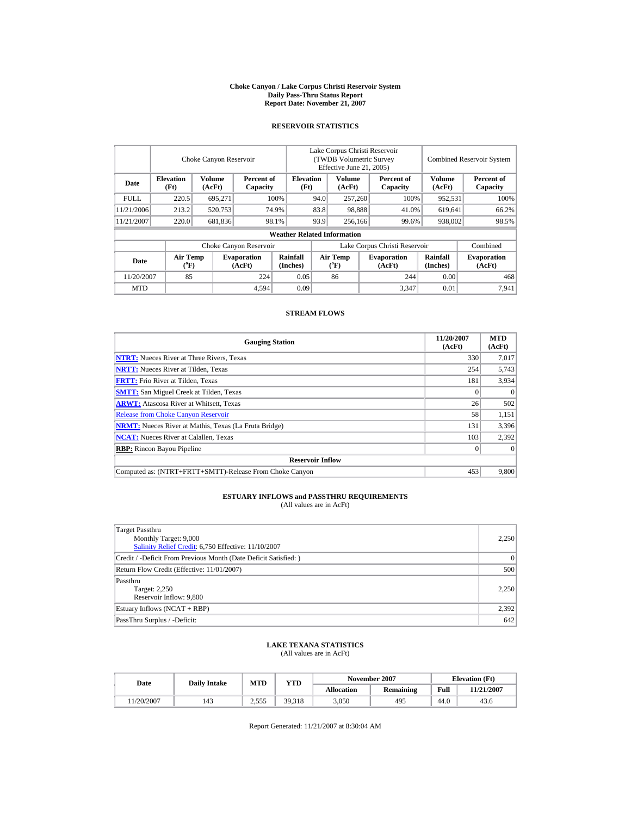#### **Choke Canyon / Lake Corpus Christi Reservoir System Daily Pass-Thru Status Report Report Date: November 21, 2007**

## **RESERVOIR STATISTICS**

|             |                             | Choke Canyon Reservoir                     |                              | Lake Corpus Christi Reservoir<br>(TWDB Volumetric Survey<br>Effective June 21, 2005) |                                      |                         |                  |                               | <b>Combined Reservoir System</b> |                              |  |
|-------------|-----------------------------|--------------------------------------------|------------------------------|--------------------------------------------------------------------------------------|--------------------------------------|-------------------------|------------------|-------------------------------|----------------------------------|------------------------------|--|
| Date        | <b>Elevation</b><br>(Ft)    | Volume<br>Percent of<br>(AcFt)<br>Capacity |                              | <b>Elevation</b><br>(Ft)                                                             |                                      | <b>Volume</b><br>(AcFt) |                  | Percent of<br>Capacity        | <b>Volume</b><br>(AcFt)          | Percent of<br>Capacity       |  |
| <b>FULL</b> | 220.5                       | 695,271                                    |                              | 100%                                                                                 | 94.0                                 | 257,260                 |                  | 100%                          | 952,531                          | 100%                         |  |
| 11/21/2006  | 213.2                       | 520,753                                    |                              | 74.9%                                                                                | 83.8                                 | 98.888                  |                  | 41.0%                         | 619,641                          | 66.2%                        |  |
| 11/21/2007  | 220.0                       | 681,836                                    |                              | 98.1%                                                                                | 93.9                                 |                         | 256,166<br>99.6% |                               | 938,002                          | 98.5%                        |  |
|             |                             |                                            |                              | <b>Weather Related Information</b>                                                   |                                      |                         |                  |                               |                                  |                              |  |
|             |                             |                                            | Choke Canyon Reservoir       |                                                                                      |                                      |                         |                  | Lake Corpus Christi Reservoir |                                  | Combined                     |  |
| Date        | Air Temp<br>$({}^{\circ}F)$ |                                            | <b>Evaporation</b><br>(AcFt) | Rainfall<br>(Inches)                                                                 | Air Temp<br>$({}^{\circ}\mathrm{F})$ |                         |                  | <b>Evaporation</b><br>(AcFt)  | <b>Rainfall</b><br>(Inches)      | <b>Evaporation</b><br>(AcFt) |  |
| 11/20/2007  | 85                          |                                            | 224                          | 0.05                                                                                 |                                      | 86                      |                  | 244                           | 0.00                             | 468                          |  |
| <b>MTD</b>  |                             |                                            | 4,594                        | 0.09                                                                                 |                                      |                         |                  | 3.347                         | 0.01                             | 7,941                        |  |

### **STREAM FLOWS**

| <b>Gauging Station</b>                                       | 11/20/2007<br>(AcFt) | <b>MTD</b><br>(AcFt) |
|--------------------------------------------------------------|----------------------|----------------------|
| <b>NTRT:</b> Nueces River at Three Rivers, Texas             | 330                  | 7,017                |
| <b>NRTT:</b> Nueces River at Tilden, Texas                   | 254                  | 5,743                |
| <b>FRTT:</b> Frio River at Tilden, Texas                     | 181                  | 3,934                |
| <b>SMTT:</b> San Miguel Creek at Tilden, Texas               |                      | $\theta$             |
| <b>ARWT:</b> Atascosa River at Whitsett, Texas               | 26                   | 502                  |
| <b>Release from Choke Canyon Reservoir</b>                   | 58                   | 1,151                |
| <b>NRMT:</b> Nueces River at Mathis, Texas (La Fruta Bridge) | 131                  | 3,396                |
| <b>NCAT:</b> Nueces River at Calallen, Texas                 | 103                  | 2,392                |
| <b>RBP:</b> Rincon Bayou Pipeline                            |                      | $\theta$             |
| <b>Reservoir Inflow</b>                                      |                      |                      |
| Computed as: (NTRT+FRTT+SMTT)-Release From Choke Canvon      | 453                  | 9.800                |

# **ESTUARY INFLOWS and PASSTHRU REQUIREMENTS**<br>(All values are in AcFt)

| Target Passthru                                                  |           |
|------------------------------------------------------------------|-----------|
| Monthly Target: 9,000                                            | 2,250     |
| Salinity Relief Credit: 6,750 Effective: 11/10/2007              |           |
| Credit / -Deficit From Previous Month (Date Deficit Satisfied: ) | $\vert$ 0 |
| Return Flow Credit (Effective: 11/01/2007)                       | 500       |
| Passthru                                                         |           |
| Target: 2,250                                                    | 2,250     |
| Reservoir Inflow: 9,800                                          |           |
| Estuary Inflows (NCAT + RBP)                                     | 2,392     |
| PassThru Surplus / -Deficit:                                     | 642       |

## **LAKE TEXANA STATISTICS**

(All values are in AcFt)

| Date      | <b>Daily Intake</b> | MTD              | <b>YTD</b> |                   | November 2007 | <b>Elevation</b> (Ft) |                   |
|-----------|---------------------|------------------|------------|-------------------|---------------|-----------------------|-------------------|
|           |                     |                  |            | <b>Allocation</b> | Remaining     | Full                  | <b>11/21/2007</b> |
| 1/20/2007 | 143                 | ว รรร<br>ن ل ل د | 39.318     | 3,050             | 495           | 44.0                  | 43.6              |

Report Generated: 11/21/2007 at 8:30:04 AM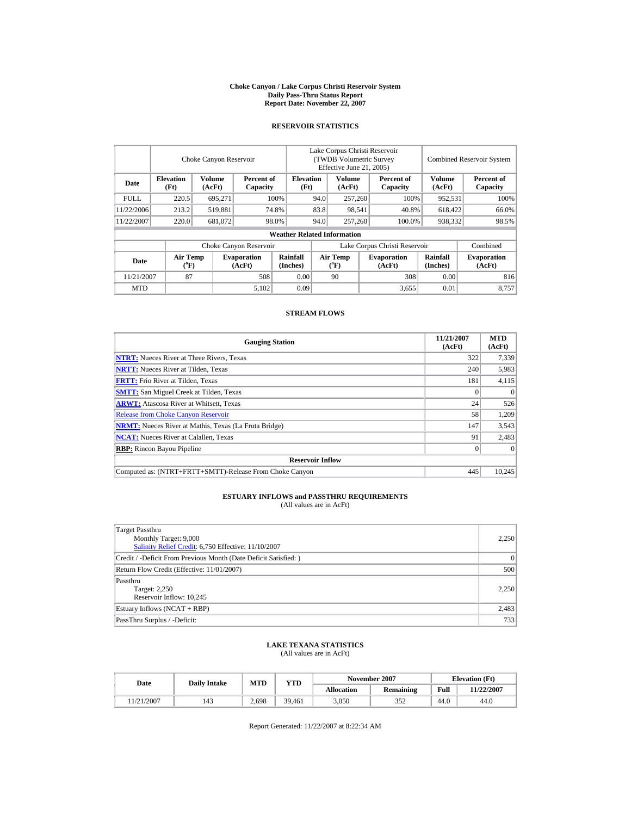#### **Choke Canyon / Lake Corpus Christi Reservoir System Daily Pass-Thru Status Report Report Date: November 22, 2007**

## **RESERVOIR STATISTICS**

|             |                             | Choke Canyon Reservoir  |                              | Lake Corpus Christi Reservoir<br>(TWDB Volumetric Survey<br>Effective June 21, 2005) |                               |                                    |  |                              | <b>Combined Reservoir System</b> |                              |  |
|-------------|-----------------------------|-------------------------|------------------------------|--------------------------------------------------------------------------------------|-------------------------------|------------------------------------|--|------------------------------|----------------------------------|------------------------------|--|
| Date        | <b>Elevation</b><br>(Ft)    | <b>Volume</b><br>(AcFt) | Percent of<br>Capacity       |                                                                                      | <b>Elevation</b><br>(Ft)      | <b>Volume</b><br>(AcFt)            |  | Percent of<br>Capacity       | <b>Volume</b><br>(AcFt)          | Percent of<br>Capacity       |  |
| <b>FULL</b> | 220.5                       | 695.271                 |                              | 100%                                                                                 | 94.0                          | 257,260                            |  | 100%                         | 952,531                          | 100%                         |  |
| 11/22/2006  | 213.2                       | 519,881                 |                              | 74.8%                                                                                | 83.8                          | 98,541                             |  | 40.8%                        | 618,422                          | 66.0%                        |  |
| 11/22/2007  | 220.0                       | 681,072                 |                              | 98.0%                                                                                | 94.0                          | 257,260                            |  | 100.0%                       | 938,332                          | 98.5%                        |  |
|             |                             |                         |                              | <b>Weather Related Information</b>                                                   |                               |                                    |  |                              |                                  |                              |  |
|             |                             |                         | Choke Canyon Reservoir       |                                                                                      | Lake Corpus Christi Reservoir |                                    |  |                              |                                  | Combined                     |  |
| Date        | Air Temp<br>$({}^{\circ}F)$ |                         | <b>Evaporation</b><br>(AcFt) | Rainfall<br>(Inches)                                                                 |                               | Air Temp<br>$({}^{\circ}\text{F})$ |  | <b>Evaporation</b><br>(AcFt) | Rainfall<br>(Inches)             | <b>Evaporation</b><br>(AcFt) |  |
| 11/21/2007  | 87                          |                         | 508                          | 0.00                                                                                 |                               | 90                                 |  | 308                          | 0.00                             | 816                          |  |
| <b>MTD</b>  |                             |                         | 5,102                        | 0.09                                                                                 |                               |                                    |  | 3,655                        | 0.01                             | 8.757                        |  |

### **STREAM FLOWS**

| <b>Gauging Station</b>                                       | 11/21/2007<br>(AcFt) | <b>MTD</b><br>(AcFt) |
|--------------------------------------------------------------|----------------------|----------------------|
| <b>NTRT:</b> Nueces River at Three Rivers, Texas             | 322                  | 7,339                |
| <b>NRTT:</b> Nueces River at Tilden, Texas                   | 240                  | 5,983                |
| <b>FRTT:</b> Frio River at Tilden, Texas                     | 181                  | 4,115                |
| <b>SMTT:</b> San Miguel Creek at Tilden, Texas               |                      | $\Omega$             |
| <b>ARWT:</b> Atascosa River at Whitsett, Texas               | 24                   | 526                  |
| <b>Release from Choke Canyon Reservoir</b>                   | 58                   | 1,209                |
| <b>NRMT:</b> Nueces River at Mathis, Texas (La Fruta Bridge) | 147                  | 3,543                |
| <b>NCAT:</b> Nueces River at Calallen, Texas                 | 91                   | 2,483                |
| <b>RBP:</b> Rincon Bayou Pipeline                            |                      | $\theta$             |
| <b>Reservoir Inflow</b>                                      |                      |                      |
| Computed as: (NTRT+FRTT+SMTT)-Release From Choke Canvon      | 445                  | 10.245               |

# **ESTUARY INFLOWS and PASSTHRU REQUIREMENTS**<br>(All values are in AcFt)

| Target Passthru                                                  |           |
|------------------------------------------------------------------|-----------|
| Monthly Target: 9,000                                            | 2,250     |
| Salinity Relief Credit: 6,750 Effective: 11/10/2007              |           |
| Credit / -Deficit From Previous Month (Date Deficit Satisfied: ) | $\vert$ 0 |
| Return Flow Credit (Effective: 11/01/2007)                       | 500       |
| Passthru                                                         |           |
| Target: 2,250                                                    | 2,250     |
| Reservoir Inflow: 10,245                                         |           |
| Estuary Inflows (NCAT + RBP)                                     | 2,483     |
| PassThru Surplus / -Deficit:                                     | 733       |

## **LAKE TEXANA STATISTICS**

(All values are in AcFt)

| Date      | <b>Daily Intake</b> | MTD   | <b>YTD</b> |                   | November 2007 | <b>Elevation</b> (Ft) |            |
|-----------|---------------------|-------|------------|-------------------|---------------|-----------------------|------------|
|           |                     |       |            | <b>Allocation</b> | Remaining     | Full                  | 11/22/2007 |
| 1/21/2007 | 143                 | 2,698 | 39.461     | 3,050             | 352           | 44.0                  | 44.0       |

Report Generated: 11/22/2007 at 8:22:34 AM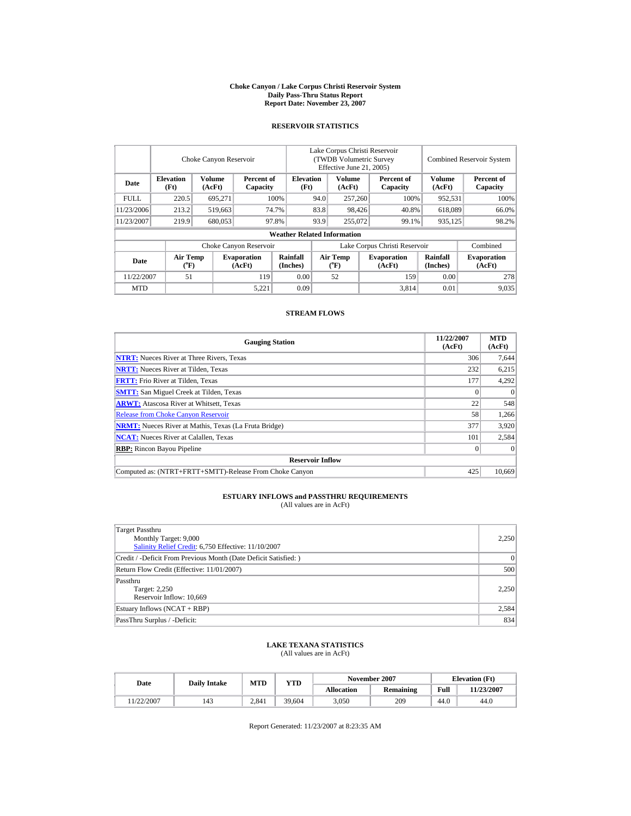#### **Choke Canyon / Lake Corpus Christi Reservoir System Daily Pass-Thru Status Report Report Date: November 23, 2007**

## **RESERVOIR STATISTICS**

|             |                             | Choke Canyon Reservoir |                              | Lake Corpus Christi Reservoir<br>(TWDB Volumetric Survey)<br>Effective June 21, 2005) |                                      |                         |  |                              | <b>Combined Reservoir System</b> |                              |  |
|-------------|-----------------------------|------------------------|------------------------------|---------------------------------------------------------------------------------------|--------------------------------------|-------------------------|--|------------------------------|----------------------------------|------------------------------|--|
| Date        | <b>Elevation</b><br>(Ft)    | Volume<br>(AcFt)       | Percent of<br>Capacity       |                                                                                       | <b>Elevation</b><br>(Ft)             | <b>Volume</b><br>(AcFt) |  | Percent of<br>Capacity       | Volume<br>(AcFt)                 | Percent of<br>Capacity       |  |
| <b>FULL</b> | 220.5                       | 695.271                |                              | 100%                                                                                  | 94.0                                 | 257,260                 |  | 100%                         | 952,531                          | 100%                         |  |
| 11/23/2006  | 213.2                       | 519,663                |                              | 74.7%                                                                                 | 83.8                                 | 98.426                  |  | 40.8%                        | 618,089                          | 66.0%                        |  |
| 11/23/2007  | 219.9                       | 680,053                |                              | 97.8%                                                                                 | 93.9                                 | 255,072                 |  | 99.1%                        | 935,125                          | 98.2%                        |  |
|             |                             |                        |                              | <b>Weather Related Information</b>                                                    |                                      |                         |  |                              |                                  |                              |  |
|             |                             |                        | Choke Canyon Reservoir       |                                                                                       | Lake Corpus Christi Reservoir        |                         |  |                              |                                  | Combined                     |  |
| Date        | Air Temp<br>$({}^{\circ}F)$ |                        | <b>Evaporation</b><br>(AcFt) | Rainfall<br>(Inches)                                                                  | Air Temp<br>$({}^{\circ}\mathrm{F})$ |                         |  | <b>Evaporation</b><br>(AcFt) | <b>Rainfall</b><br>(Inches)      | <b>Evaporation</b><br>(AcFt) |  |
| 11/22/2007  | 51                          |                        | 119                          | 0.00                                                                                  |                                      | 52                      |  | 159                          | 0.00                             | 278                          |  |
| <b>MTD</b>  |                             |                        | 5.221                        | 0.09                                                                                  |                                      |                         |  | 3.814                        | 0.01                             | 9,035                        |  |

#### **STREAM FLOWS**

| <b>Gauging Station</b>                                       | 11/22/2007<br>(AcFt) | <b>MTD</b><br>(AcFt) |  |  |  |  |  |
|--------------------------------------------------------------|----------------------|----------------------|--|--|--|--|--|
| <b>NTRT:</b> Nueces River at Three Rivers, Texas             | 306                  | 7,644                |  |  |  |  |  |
| <b>NRTT:</b> Nueces River at Tilden, Texas                   | 232                  | 6,215                |  |  |  |  |  |
| <b>FRTT:</b> Frio River at Tilden, Texas                     | 177                  | 4,292                |  |  |  |  |  |
| <b>SMTT:</b> San Miguel Creek at Tilden, Texas               |                      | $\theta$             |  |  |  |  |  |
| <b>ARWT:</b> Atascosa River at Whitsett, Texas               | 22                   | 548                  |  |  |  |  |  |
| <b>Release from Choke Canyon Reservoir</b>                   | 58                   | 1,266                |  |  |  |  |  |
| <b>NRMT:</b> Nueces River at Mathis, Texas (La Fruta Bridge) | 377                  | 3,920                |  |  |  |  |  |
| <b>NCAT:</b> Nueces River at Calallen, Texas                 | 101                  | 2,584                |  |  |  |  |  |
| <b>RBP:</b> Rincon Bayou Pipeline                            |                      | $\theta$             |  |  |  |  |  |
| <b>Reservoir Inflow</b>                                      |                      |                      |  |  |  |  |  |
| Computed as: (NTRT+FRTT+SMTT)-Release From Choke Canyon      | 425                  | 10.669               |  |  |  |  |  |

# **ESTUARY INFLOWS and PASSTHRU REQUIREMENTS**<br>(All values are in AcFt)

| Target Passthru                                                  |          |
|------------------------------------------------------------------|----------|
| Monthly Target: 9,000                                            | 2,250    |
| Salinity Relief Credit: 6,750 Effective: 11/10/2007              |          |
| Credit / -Deficit From Previous Month (Date Deficit Satisfied: ) | $\Omega$ |
| Return Flow Credit (Effective: 11/01/2007)                       | 500      |
| Passthru                                                         |          |
| Target: 2,250                                                    | 2,250    |
| Reservoir Inflow: 10,669                                         |          |
| Estuary Inflows (NCAT + RBP)                                     | 2,584    |
| PassThru Surplus / -Deficit:                                     | 834      |

## **LAKE TEXANA STATISTICS**

(All values are in AcFt)

| Date      | <b>Daily Intake</b> | MTD   | <b>YTD</b> |                   | November 2007 | <b>Elevation</b> (Ft) |            |
|-----------|---------------------|-------|------------|-------------------|---------------|-----------------------|------------|
|           |                     |       |            | <b>Allocation</b> | Remaining     | Full                  | 11/23/2007 |
| 1/22/2007 | 143                 | 2.841 | 39.604     | 3,050             | 209           | 44.0                  | 44.0       |

Report Generated: 11/23/2007 at 8:23:35 AM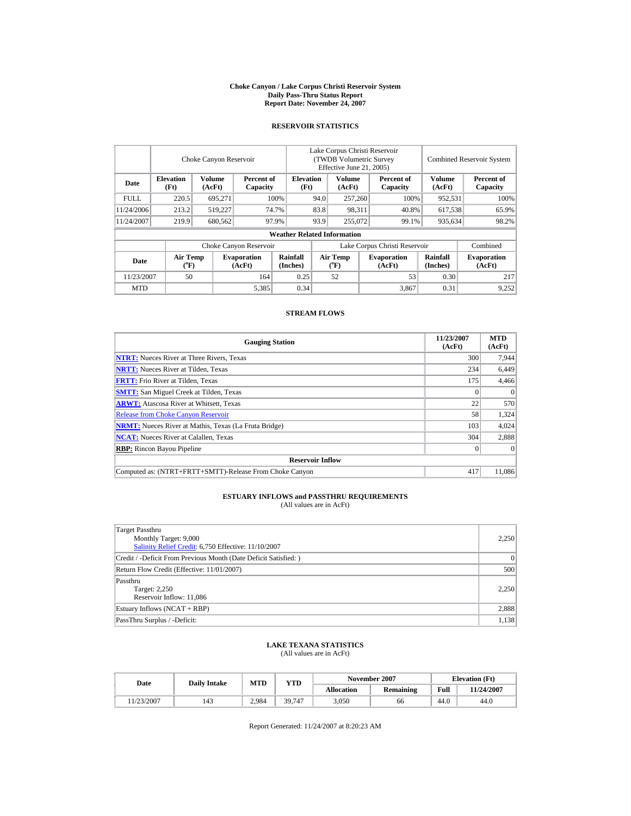#### **Choke Canyon / Lake Corpus Christi Reservoir System Daily Pass-Thru Status Report Report Date: November 24, 2007**

## **RESERVOIR STATISTICS**

|             | Choke Canyon Reservoir      |                  |                              |                                    |                                                     | Lake Corpus Christi Reservoir<br>(TWDB Volumetric Survey)<br>Effective June 21, 2005) |                              | <b>Combined Reservoir System</b> |                              |  |
|-------------|-----------------------------|------------------|------------------------------|------------------------------------|-----------------------------------------------------|---------------------------------------------------------------------------------------|------------------------------|----------------------------------|------------------------------|--|
| Date        | <b>Elevation</b><br>(Ft)    | Volume<br>(AcFt) | Percent of<br>Capacity       |                                    | <b>Volume</b><br><b>Elevation</b><br>(AcFt)<br>(Ft) |                                                                                       | Percent of<br>Capacity       | Volume<br>(AcFt)                 | Percent of<br>Capacity       |  |
| <b>FULL</b> | 220.5                       | 695.271          |                              | 100%<br>94.0                       |                                                     | 257,260                                                                               | 100%                         | 952,531                          | 100%                         |  |
| 11/24/2006  | 213.2                       | 519,227          |                              | 74.7%                              | 83.8                                                | 98.311                                                                                | 40.8%                        | 617,538                          | 65.9%                        |  |
| 11/24/2007  | 219.9                       | 680,562          |                              | 97.9%                              | 93.9                                                | 255,072                                                                               | 99.1%                        | 935,634                          | 98.2%                        |  |
|             |                             |                  |                              | <b>Weather Related Information</b> |                                                     |                                                                                       |                              |                                  |                              |  |
|             |                             |                  | Choke Canyon Reservoir       |                                    | Lake Corpus Christi Reservoir                       |                                                                                       |                              |                                  | Combined                     |  |
| Date        | Air Temp<br>$({}^{\circ}F)$ |                  | <b>Evaporation</b><br>(AcFt) | Rainfall<br>(Inches)               | Air Temp                                            |                                                                                       | <b>Evaporation</b><br>(AcFt) | <b>Rainfall</b><br>(Inches)      | <b>Evaporation</b><br>(AcFt) |  |
| 11/23/2007  | 50                          |                  | 164                          | 0.25                               |                                                     | 52                                                                                    | 53                           | 0.30                             | 217                          |  |
| <b>MTD</b>  |                             |                  | 5,385                        | 0.34                               |                                                     |                                                                                       | 3.867                        | 0.31                             | 9,252                        |  |

#### **STREAM FLOWS**

| <b>Gauging Station</b>                                       | 11/23/2007<br>(AcFt) | <b>MTD</b><br>(AcFt) |
|--------------------------------------------------------------|----------------------|----------------------|
| <b>NTRT:</b> Nueces River at Three Rivers, Texas             | 300                  | 7,944                |
| <b>NRTT:</b> Nueces River at Tilden, Texas                   | 234                  | 6,449                |
| <b>FRTT:</b> Frio River at Tilden, Texas                     | 175                  | 4,466                |
| <b>SMTT:</b> San Miguel Creek at Tilden, Texas               |                      | $\theta$             |
| <b>ARWT:</b> Atascosa River at Whitsett, Texas               | 22                   | 570                  |
| <b>Release from Choke Canyon Reservoir</b>                   | 58                   | 1,324                |
| <b>NRMT:</b> Nueces River at Mathis, Texas (La Fruta Bridge) | 103                  | 4,024                |
| <b>NCAT:</b> Nueces River at Calallen, Texas                 | 304                  | 2,888                |
| <b>RBP:</b> Rincon Bayou Pipeline                            |                      | $\theta$             |
| <b>Reservoir Inflow</b>                                      |                      |                      |
| Computed as: (NTRT+FRTT+SMTT)-Release From Choke Canyon      | 417                  | 11.086               |

# **ESTUARY INFLOWS and PASSTHRU REQUIREMENTS**<br>(All values are in AcFt)

| Target Passthru                                                  |          |
|------------------------------------------------------------------|----------|
| Monthly Target: 9,000                                            | 2,250    |
| Salinity Relief Credit: 6,750 Effective: 11/10/2007              |          |
| Credit / -Deficit From Previous Month (Date Deficit Satisfied: ) | $\Omega$ |
| Return Flow Credit (Effective: 11/01/2007)                       | 500      |
| Passthru                                                         |          |
| Target: 2,250                                                    | 2,250    |
| Reservoir Inflow: 11,086                                         |          |
| Estuary Inflows (NCAT + RBP)                                     | 2,888    |
| PassThru Surplus / -Deficit:                                     | 1,138    |
|                                                                  |          |

## **LAKE TEXANA STATISTICS**

(All values are in AcFt)

| Date      | <b>Daily Intake</b> | MTD   | YTD    |                   | November 2007 | <b>Elevation</b> (Ft) |            |
|-----------|---------------------|-------|--------|-------------------|---------------|-----------------------|------------|
|           |                     |       |        | <b>Allocation</b> | Remaining     | Full                  | 11/24/2007 |
| 1/23/2007 | 143                 | 2.984 | 39.747 | 3,050             | 66            | 44.0                  | 44.0       |

Report Generated: 11/24/2007 at 8:20:23 AM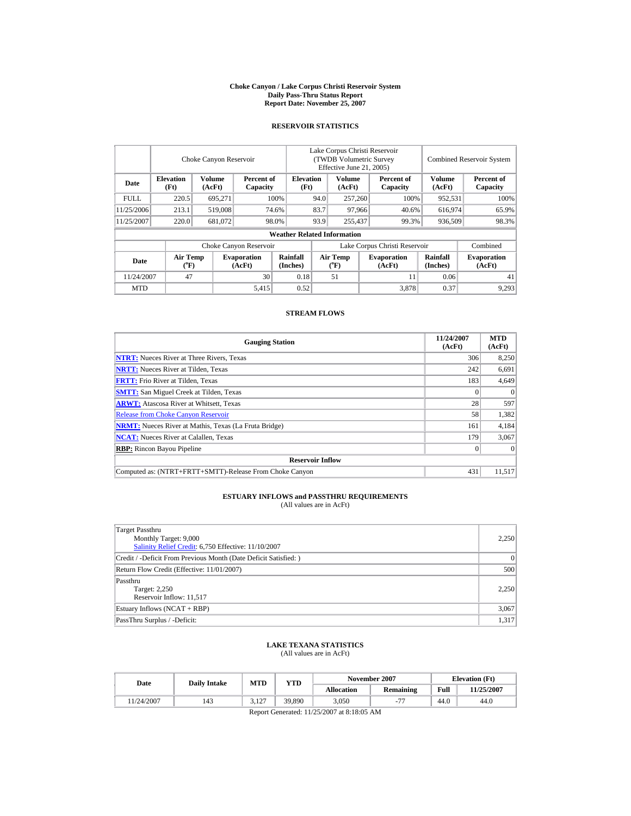#### **Choke Canyon / Lake Corpus Christi Reservoir System Daily Pass-Thru Status Report Report Date: November 25, 2007**

### **RESERVOIR STATISTICS**

|             | Choke Canyon Reservoir               |                         |                              |                                    | Lake Corpus Christi Reservoir<br>(TWDB Volumetric Survey<br>Effective June 21, 2005) |                       |        |                              |                         | <b>Combined Reservoir System</b> |  |  |
|-------------|--------------------------------------|-------------------------|------------------------------|------------------------------------|--------------------------------------------------------------------------------------|-----------------------|--------|------------------------------|-------------------------|----------------------------------|--|--|
| Date        | <b>Elevation</b><br>(Ft)             | <b>Volume</b><br>(AcFt) | Percent of<br>Capacity       |                                    | Volume<br><b>Elevation</b><br>(AcFt)<br>(Ft)                                         |                       |        | Percent of<br>Capacity       | <b>Volume</b><br>(AcFt) | Percent of<br>Capacity           |  |  |
| <b>FULL</b> | 220.5                                | 695.271                 |                              | 100%                               | 94.0                                                                                 | 257,260               |        | 100%                         | 952,531                 | 100%                             |  |  |
| 11/25/2006  | 213.1                                | 519,008                 |                              | 74.6%                              | 83.7                                                                                 |                       | 97,966 | 40.6%                        | 616,974                 | 65.9%                            |  |  |
| 11/25/2007  | 220.0                                | 681,072                 |                              | 98.0%                              | 93.9                                                                                 | 255,437               |        | 99.3%                        | 936,509                 | 98.3%                            |  |  |
|             |                                      |                         |                              | <b>Weather Related Information</b> |                                                                                      |                       |        |                              |                         |                                  |  |  |
|             |                                      |                         | Choke Canyon Reservoir       |                                    | Lake Corpus Christi Reservoir                                                        |                       |        |                              |                         | Combined                         |  |  |
| Date        | Air Temp<br>$({}^{\circ}\mathrm{F})$ |                         | <b>Evaporation</b><br>(AcFt) | Rainfall<br>(Inches)               |                                                                                      | Air Temp<br>$(^{o}F)$ |        | <b>Evaporation</b><br>(AcFt) | Rainfall<br>(Inches)    | <b>Evaporation</b><br>(AcFt)     |  |  |
| 11/24/2007  | 47                                   |                         | 30                           | 0.18                               |                                                                                      | 51                    |        | 11                           | 0.06                    | 41                               |  |  |
| <b>MTD</b>  |                                      |                         | 5,415                        | 0.52                               |                                                                                      |                       |        | 3.878                        | 0.37                    | 9,293                            |  |  |

### **STREAM FLOWS**

| <b>Gauging Station</b>                                       | 11/24/2007<br>(AcFt) | <b>MTD</b><br>(AcFt) |
|--------------------------------------------------------------|----------------------|----------------------|
| <b>NTRT:</b> Nueces River at Three Rivers, Texas             | 306                  | 8,250                |
| <b>NRTT:</b> Nueces River at Tilden, Texas                   | 242                  | 6,691                |
| <b>FRTT:</b> Frio River at Tilden, Texas                     | 183                  | 4,649                |
| <b>SMTT:</b> San Miguel Creek at Tilden, Texas               |                      | $\Omega$             |
| <b>ARWT:</b> Atascosa River at Whitsett, Texas               | 28                   | 597                  |
| <b>Release from Choke Canyon Reservoir</b>                   | 58                   | 1,382                |
| <b>NRMT:</b> Nueces River at Mathis, Texas (La Fruta Bridge) | 161                  | 4,184                |
| <b>NCAT:</b> Nueces River at Calallen, Texas                 | 179                  | 3,067                |
| <b>RBP:</b> Rincon Bayou Pipeline                            |                      | $\theta$             |
| <b>Reservoir Inflow</b>                                      |                      |                      |
| Computed as: (NTRT+FRTT+SMTT)-Release From Choke Canvon      | 431                  | 11.517               |

#### **ESTUARY INFLOWS and PASSTHRU REQUIREMENTS** (All values are in AcFt)

Target Passthru Monthly Target: 9,000 [Salinity Relief Credit:](http://lighthouse.tamucc.edu/salrel) 6,750 Effective: 11/10/2007 2,250 Credit / -Deficit From Previous Month (Date Deficit Satisfied: ) 0 Return Flow Credit (Effective: 11/01/2007) 500 Passthru Target: 2,250 Reservoir Inflow: 11,517 2,250 Estuary Inflows (NCAT + RBP) 3,067 PassThru Surplus / -Deficit: 1,317

## **LAKE TEXANA STATISTICS**

(All values are in AcFt)

| Date       | <b>Daily Intake</b> | <b>MTD</b>    | YTD    |                   | November 2007 |      | <b>Elevation</b> (Ft) |
|------------|---------------------|---------------|--------|-------------------|---------------|------|-----------------------|
|            |                     |               |        | <b>Allocation</b> | Remaining     | Full | 11/25/2007            |
| 11/24/2007 | 143                 | 2107<br>J.IZ. | 39.890 | 3.050             |               | 44.0 | 44.0                  |

Report Generated: 11/25/2007 at 8:18:05 AM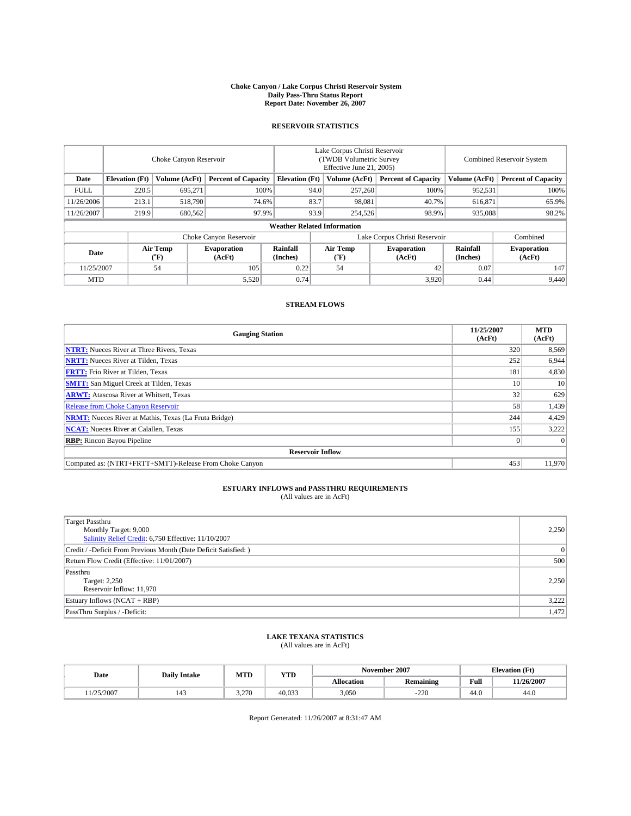#### **Choke Canyon / Lake Corpus Christi Reservoir System Daily Pass-Thru Status Report Report Date: November 26, 2007**

### **RESERVOIR STATISTICS**

|                                   | Choke Canyon Reservoir |               |                              |                                    | Lake Corpus Christi Reservoir<br>(TWDB Volumetric Survey<br>Effective June 21, 2005) |                              |                               |                      | <b>Combined Reservoir System</b> |  |  |
|-----------------------------------|------------------------|---------------|------------------------------|------------------------------------|--------------------------------------------------------------------------------------|------------------------------|-------------------------------|----------------------|----------------------------------|--|--|
| Date                              | <b>Elevation</b> (Ft)  | Volume (AcFt) | <b>Percent of Capacity</b>   | <b>Elevation</b> (Ft)              |                                                                                      | Volume (AcFt)                | <b>Percent of Capacity</b>    | Volume (AcFt)        | <b>Percent of Capacity</b>       |  |  |
| <b>FULL</b>                       | 220.5                  | 695.271       | 100%                         |                                    | 94.0                                                                                 | 257,260                      | 100%                          | 952,531              | 100%                             |  |  |
| 11/26/2006                        | 213.1                  | 518,790       |                              | 83.7<br>74.6%                      |                                                                                      | 98,081                       | 40.7%                         | 616,871              | 65.9%                            |  |  |
| 11/26/2007                        | 219.9                  | 680,562       | 97.9%                        |                                    | 93.9                                                                                 | 254,526                      | 98.9%                         | 935,088              | 98.2%                            |  |  |
|                                   |                        |               |                              | <b>Weather Related Information</b> |                                                                                      |                              |                               |                      |                                  |  |  |
|                                   |                        |               | Choke Canyon Reservoir       |                                    |                                                                                      |                              | Lake Corpus Christi Reservoir |                      | Combined                         |  |  |
| Air Temp<br>Date<br>$(^{\circ}F)$ |                        |               | <b>Evaporation</b><br>(AcFt) | Rainfall<br>(Inches)               |                                                                                      | Air Temp<br>$(^{o}\text{F})$ | <b>Evaporation</b><br>(AcFt)  | Rainfall<br>(Inches) | <b>Evaporation</b><br>(AcFt)     |  |  |
| 11/25/2007                        |                        | 54            | 0.22<br>105                  |                                    |                                                                                      | 54                           | 42                            | 0.07                 | 147                              |  |  |
| <b>MTD</b>                        |                        |               | 5,520                        | 0.74                               |                                                                                      |                              | 3,920                         | 0.44                 | 9,440                            |  |  |

#### **STREAM FLOWS**

| <b>Gauging Station</b>                                       | 11/25/2007<br>(AcFt) | <b>MTD</b><br>(AcFt) |  |  |  |  |  |  |
|--------------------------------------------------------------|----------------------|----------------------|--|--|--|--|--|--|
| <b>NTRT:</b> Nueces River at Three Rivers, Texas             | 320                  | 8,569                |  |  |  |  |  |  |
| <b>NRTT:</b> Nueces River at Tilden, Texas                   | 252                  | 6,944                |  |  |  |  |  |  |
| <b>FRTT:</b> Frio River at Tilden, Texas                     | 181                  | 4,830                |  |  |  |  |  |  |
| <b>SMTT:</b> San Miguel Creek at Tilden, Texas               | 10                   | 10                   |  |  |  |  |  |  |
| <b>ARWT:</b> Atascosa River at Whitsett, Texas               | 32 <sub>1</sub>      | 629                  |  |  |  |  |  |  |
| <b>Release from Choke Canyon Reservoir</b>                   | 58                   | 1,439                |  |  |  |  |  |  |
| <b>NRMT:</b> Nueces River at Mathis, Texas (La Fruta Bridge) | 244                  | 4,429                |  |  |  |  |  |  |
| <b>NCAT:</b> Nueces River at Calallen, Texas                 | 155                  | 3,222                |  |  |  |  |  |  |
| <b>RBP:</b> Rincon Bayou Pipeline                            |                      | $\Omega$             |  |  |  |  |  |  |
| <b>Reservoir Inflow</b>                                      |                      |                      |  |  |  |  |  |  |
| Computed as: (NTRT+FRTT+SMTT)-Release From Choke Canyon      | 453                  | 11,970               |  |  |  |  |  |  |

# **ESTUARY INFLOWS and PASSTHRU REQUIREMENTS**<br>(All values are in AcFt)

| Target Passthru<br>Monthly Target: 9,000<br>Salinity Relief Credit: 6,750 Effective: 11/10/2007 | 2.250          |
|-------------------------------------------------------------------------------------------------|----------------|
| Credit / -Deficit From Previous Month (Date Deficit Satisfied: )                                | $\overline{0}$ |
| Return Flow Credit (Effective: 11/01/2007)                                                      | 500            |
| Passthru<br>Target: 2,250<br>Reservoir Inflow: 11,970                                           | 2,250          |
| Estuary Inflows (NCAT + RBP)                                                                    | 3,222          |
| PassThru Surplus / -Deficit:                                                                    | 1,472          |

# **LAKE TEXANA STATISTICS** (All values are in AcFt)

| Date      | <b>Daily Intake</b> | MTD   | YTD    |                   | November 2007    | <b>Elevation</b> (Ft) |            |
|-----------|---------------------|-------|--------|-------------------|------------------|-----------------------|------------|
|           |                     |       |        | <b>Allocation</b> | <b>Remaining</b> | Full                  | 11/26/2007 |
| 1/25/2007 | 143                 | 3.270 | 40.033 | 3,050             | $-220$           | 44.0                  | 44.0       |

Report Generated: 11/26/2007 at 8:31:47 AM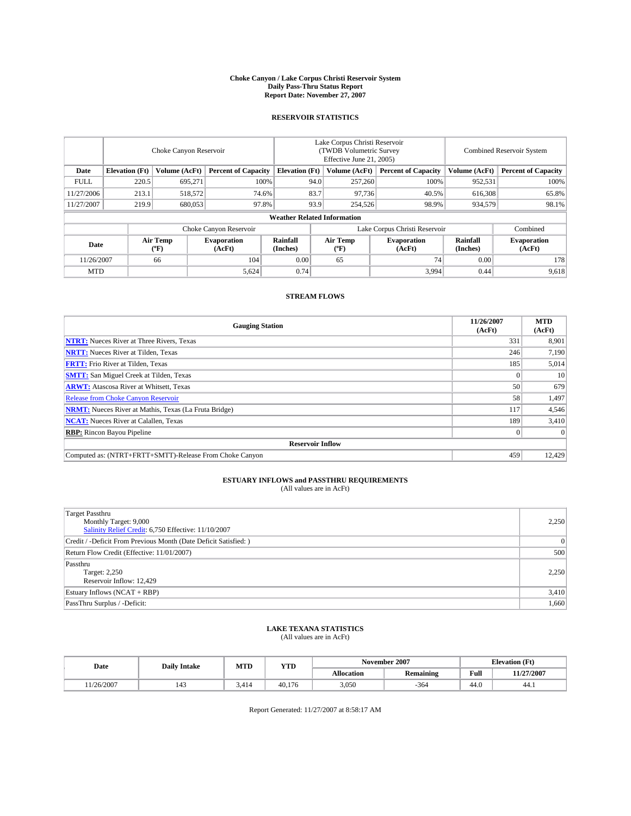#### **Choke Canyon / Lake Corpus Christi Reservoir System Daily Pass-Thru Status Report Report Date: November 27, 2007**

#### **RESERVOIR STATISTICS**

|             | Choke Canyon Reservoir |                         |                              |                                    |                               | Lake Corpus Christi Reservoir<br>(TWDB Volumetric Survey<br>Effective June 21, 2005) | Combined Reservoir System    |                      |                              |
|-------------|------------------------|-------------------------|------------------------------|------------------------------------|-------------------------------|--------------------------------------------------------------------------------------|------------------------------|----------------------|------------------------------|
| Date        | <b>Elevation</b> (Ft)  | Volume (AcFt)           | <b>Percent of Capacity</b>   | <b>Elevation</b> (Ft)              |                               | Volume (AcFt)                                                                        | <b>Percent of Capacity</b>   | Volume (AcFt)        | <b>Percent of Capacity</b>   |
| <b>FULL</b> | 220.5                  | 695.271                 |                              | 100%                               | 94.0                          | 257,260                                                                              | 100%                         | 952,531              | 100%                         |
| 11/27/2006  | 213.1                  | 518,572                 | 74.6%                        |                                    | 83.7                          | 97,736                                                                               | 40.5%                        | 616,308              | 65.8%                        |
| 11/27/2007  | 219.9                  | 680,053                 | 97.8%                        |                                    | 93.9                          | 254,526                                                                              | 98.9%                        | 934,579              | 98.1%                        |
|             |                        |                         |                              | <b>Weather Related Information</b> |                               |                                                                                      |                              |                      |                              |
|             |                        |                         | Choke Canyon Reservoir       |                                    | Lake Corpus Christi Reservoir |                                                                                      |                              |                      | Combined                     |
| Date        |                        | <b>Air Temp</b><br>(°F) | <b>Evaporation</b><br>(AcFt) | Rainfall<br>(Inches)               |                               | Air Temp<br>("F)                                                                     | <b>Evaporation</b><br>(AcFt) | Rainfall<br>(Inches) | <b>Evaporation</b><br>(AcFt) |
| 11/26/2007  |                        | 66                      | 104                          | 0.00                               |                               | 65                                                                                   | 74                           | 0.00                 | 178                          |
| <b>MTD</b>  |                        |                         | 5,624                        | 0.74                               |                               |                                                                                      | 3,994                        | 0.44                 | 9,618                        |

### **STREAM FLOWS**

| <b>Gauging Station</b>                                       | 11/26/2007<br>(AcFt) | <b>MTD</b><br>(AcFt) |
|--------------------------------------------------------------|----------------------|----------------------|
| <b>NTRT:</b> Nueces River at Three Rivers, Texas             | 331                  | 8,901                |
| <b>NRTT:</b> Nueces River at Tilden, Texas                   | 246                  | 7.190                |
| <b>FRTT:</b> Frio River at Tilden, Texas                     | 185                  | 5,014                |
| <b>SMTT:</b> San Miguel Creek at Tilden, Texas               |                      | 10                   |
| <b>ARWT:</b> Atascosa River at Whitsett, Texas               | 50                   | 679                  |
| <b>Release from Choke Canyon Reservoir</b>                   | 58                   | 1,497                |
| <b>NRMT:</b> Nueces River at Mathis, Texas (La Fruta Bridge) | 117                  | 4,546                |
| <b>NCAT:</b> Nueces River at Calallen, Texas                 | 189                  | 3,410                |
| <b>RBP:</b> Rincon Bayou Pipeline                            |                      | $\Omega$             |
| <b>Reservoir Inflow</b>                                      |                      |                      |
| Computed as: (NTRT+FRTT+SMTT)-Release From Choke Canyon      | 459                  | 12.429               |

# **ESTUARY INFLOWS and PASSTHRU REQUIREMENTS**<br>(All values are in AcFt)

| <b>Target Passthru</b><br>Monthly Target: 9,000<br>Salinity Relief Credit: 6,750 Effective: 11/10/2007 | 2,250          |
|--------------------------------------------------------------------------------------------------------|----------------|
| Credit / -Deficit From Previous Month (Date Deficit Satisfied: )                                       | $\overline{0}$ |
| Return Flow Credit (Effective: 11/01/2007)                                                             | 500            |
| Passthru<br>Target: 2,250<br>Reservoir Inflow: 12,429                                                  | 2.250          |
| Estuary Inflows (NCAT + RBP)                                                                           | 3,410          |
| PassThru Surplus / -Deficit:                                                                           | 1,660          |

# **LAKE TEXANA STATISTICS** (All values are in AcFt)

| Date      | <b>Daily Intake</b>   | MTD   | <b>YTD</b> |                   | November 2007    | <b>Elevation</b> (Ft) |            |
|-----------|-----------------------|-------|------------|-------------------|------------------|-----------------------|------------|
|           |                       |       |            | <b>Allocation</b> | <b>Remaining</b> | Full                  | 11/27/2007 |
| 1/26/2007 | $\overline{A}$<br>143 | 3.414 | 40.176     | 3.050             | $-364$           | 44.0                  | 44.1       |

Report Generated: 11/27/2007 at 8:58:17 AM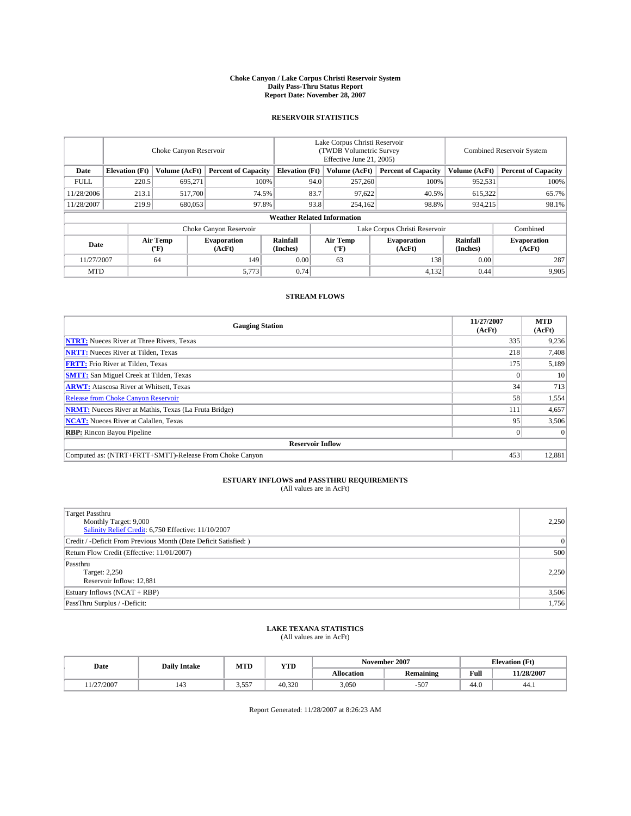#### **Choke Canyon / Lake Corpus Christi Reservoir System Daily Pass-Thru Status Report Report Date: November 28, 2007**

#### **RESERVOIR STATISTICS**

|             | Choke Canyon Reservoir |                         |                              |                                    | Lake Corpus Christi Reservoir<br>(TWDB Volumetric Survey<br>Effective June 21, 2005) |                  |                              |                      | Combined Reservoir System    |  |  |
|-------------|------------------------|-------------------------|------------------------------|------------------------------------|--------------------------------------------------------------------------------------|------------------|------------------------------|----------------------|------------------------------|--|--|
| Date        | <b>Elevation</b> (Ft)  | Volume (AcFt)           | <b>Percent of Capacity</b>   | <b>Elevation</b> (Ft)              |                                                                                      | Volume (AcFt)    | <b>Percent of Capacity</b>   | Volume (AcFt)        | <b>Percent of Capacity</b>   |  |  |
| <b>FULL</b> | 220.5                  | 695.271                 |                              | 100%<br>94.0                       |                                                                                      | 257,260          | 100%                         | 952,531              | 100%                         |  |  |
| 11/28/2006  | 213.1                  | 517,700                 | 74.5%                        |                                    | 83.7                                                                                 | 97,622           | 40.5%                        | 615,322              | 65.7%                        |  |  |
| 11/28/2007  | 219.9                  | 680,053                 | 97.8%                        |                                    | 93.8                                                                                 | 254,162          | 98.8%                        | 934.215              | 98.1%                        |  |  |
|             |                        |                         |                              | <b>Weather Related Information</b> |                                                                                      |                  |                              |                      |                              |  |  |
|             |                        |                         | Choke Canyon Reservoir       |                                    | Lake Corpus Christi Reservoir                                                        |                  |                              |                      | Combined                     |  |  |
| Date        |                        | <b>Air Temp</b><br>(°F) | <b>Evaporation</b><br>(AcFt) | Rainfall<br>(Inches)               |                                                                                      | Air Temp<br>("F) | <b>Evaporation</b><br>(AcFt) | Rainfall<br>(Inches) | <b>Evaporation</b><br>(AcFt) |  |  |
| 11/27/2007  |                        | 64                      | 149                          | 0.00                               |                                                                                      | 63               | 138                          | 0.00                 | 287                          |  |  |
| <b>MTD</b>  |                        |                         | 5,773                        | 0.74                               |                                                                                      |                  | 4,132                        | 0.44                 | 9,905                        |  |  |

### **STREAM FLOWS**

| <b>Gauging Station</b>                                       | 11/27/2007<br>(AcFt) | <b>MTD</b><br>(AcFt) |
|--------------------------------------------------------------|----------------------|----------------------|
| <b>NTRT:</b> Nueces River at Three Rivers, Texas             | 335                  | 9,236                |
| <b>NRTT:</b> Nueces River at Tilden, Texas                   | 218                  | 7.408                |
| <b>FRTT:</b> Frio River at Tilden, Texas                     | 175                  | 5,189                |
| <b>SMTT:</b> San Miguel Creek at Tilden, Texas               |                      | 10                   |
| <b>ARWT:</b> Atascosa River at Whitsett, Texas               | 34                   | 713                  |
| <b>Release from Choke Canyon Reservoir</b>                   | 58                   | 1,554                |
| <b>NRMT:</b> Nueces River at Mathis, Texas (La Fruta Bridge) | 111                  | 4,657                |
| <b>NCAT:</b> Nueces River at Calallen, Texas                 | 95                   | 3,506                |
| <b>RBP:</b> Rincon Bayou Pipeline                            |                      | $\Omega$             |
| <b>Reservoir Inflow</b>                                      |                      |                      |
| Computed as: (NTRT+FRTT+SMTT)-Release From Choke Canyon      | 453                  | 12,881               |

# **ESTUARY INFLOWS and PASSTHRU REQUIREMENTS**<br>(All values are in AcFt)

| <b>Target Passthru</b><br>Monthly Target: 9,000<br>Salinity Relief Credit: 6,750 Effective: 11/10/2007 | 2,250          |
|--------------------------------------------------------------------------------------------------------|----------------|
| Credit / -Deficit From Previous Month (Date Deficit Satisfied: )                                       | $\overline{0}$ |
| Return Flow Credit (Effective: 11/01/2007)                                                             | 500            |
| Passthru<br>Target: 2,250<br>Reservoir Inflow: 12,881                                                  | 2.250          |
| Estuary Inflows (NCAT + RBP)                                                                           | 3,506          |
| PassThru Surplus / -Deficit:                                                                           | 1,756          |

# **LAKE TEXANA STATISTICS** (All values are in AcFt)

| Date      | <b>Daily Intake</b>   | MTD   | <b>YTD</b> |                   | November 2007    | <b>Elevation</b> (Ft) |            |  |
|-----------|-----------------------|-------|------------|-------------------|------------------|-----------------------|------------|--|
|           |                       |       |            | <b>Allocation</b> | <b>Remaining</b> | Full                  | 11/28/2007 |  |
| 1/27/2007 | $\overline{A}$<br>143 | 3,557 | 40.320     | 3.050             | $-507$           | 44.0                  | 44.1       |  |

Report Generated: 11/28/2007 at 8:26:23 AM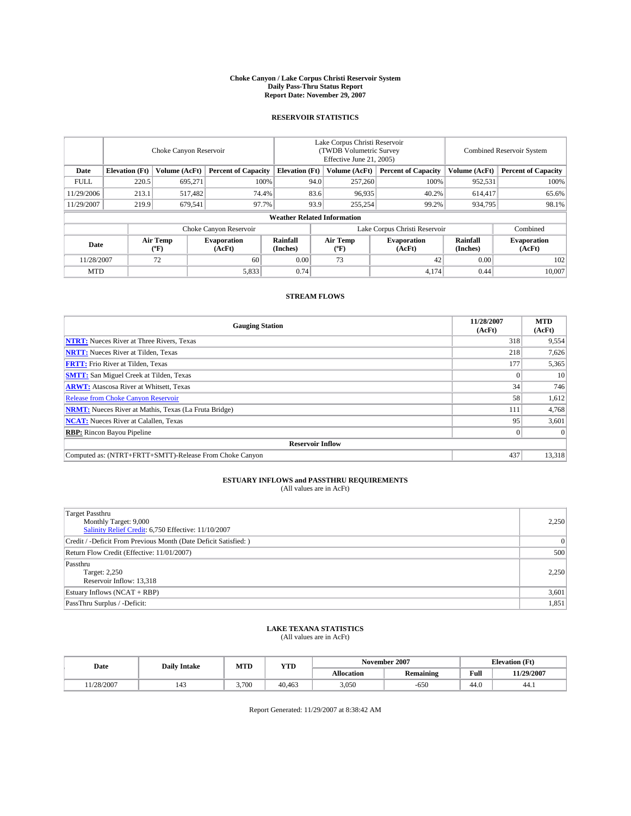#### **Choke Canyon / Lake Corpus Christi Reservoir System Daily Pass-Thru Status Report Report Date: November 29, 2007**

#### **RESERVOIR STATISTICS**

|                                    | Choke Canyon Reservoir |                    |                             |                                    |                               | Lake Corpus Christi Reservoir<br>(TWDB Volumetric Survey<br>Effective June 21, 2005) | <b>Combined Reservoir System</b> |                              |                            |
|------------------------------------|------------------------|--------------------|-----------------------------|------------------------------------|-------------------------------|--------------------------------------------------------------------------------------|----------------------------------|------------------------------|----------------------------|
| Date                               | <b>Elevation</b> (Ft)  | Volume (AcFt)      | <b>Percent of Capacity</b>  | <b>Elevation</b> (Ft)              |                               | Volume (AcFt)                                                                        | <b>Percent of Capacity</b>       | Volume (AcFt)                | <b>Percent of Capacity</b> |
| <b>FULL</b>                        | 220.5                  | 695.271            |                             | 100%                               | 94.0                          | 257,260                                                                              | 100%                             | 952,531                      | 100%                       |
| 11/29/2006                         | 213.1                  | 517,482            | 74.4%                       |                                    | 83.6                          | 96.935                                                                               | 40.2%                            | 614,417                      | 65.6%                      |
| 11/29/2007                         | 219.9                  | 679,541            | 97.7%                       |                                    | 93.9                          | 255,254                                                                              | 99.2%                            | 934,795                      | 98.1%                      |
|                                    |                        |                    |                             | <b>Weather Related Information</b> |                               |                                                                                      |                                  |                              |                            |
|                                    |                        |                    | Choke Canyon Reservoir      |                                    | Lake Corpus Christi Reservoir |                                                                                      |                                  |                              | Combined                   |
| Air Temp<br>Date<br>(AcFt)<br>(°F) |                        | <b>Evaporation</b> | <b>Rainfall</b><br>(Inches) |                                    | Air Temp<br>("F)              | <b>Evaporation</b><br>(AcFt)                                                         | Rainfall<br>(Inches)             | <b>Evaporation</b><br>(AcFt) |                            |
| 11/28/2007                         |                        | 72                 | 60                          | 0.00                               |                               | 73                                                                                   | 42                               | 0.00                         | 102                        |
| <b>MTD</b>                         |                        |                    | 5,833                       | 0.74                               |                               |                                                                                      | 4,174                            | 0.44                         | 10,007                     |

### **STREAM FLOWS**

| <b>Gauging Station</b>                                       | 11/28/2007<br>(AcFt) | <b>MTD</b><br>(AcFt) |
|--------------------------------------------------------------|----------------------|----------------------|
| <b>NTRT:</b> Nueces River at Three Rivers, Texas             | 318                  | 9,554                |
| <b>NRTT:</b> Nueces River at Tilden, Texas                   | 218                  | 7,626                |
| <b>FRTT:</b> Frio River at Tilden, Texas                     | 177                  | 5,365                |
| <b>SMTT:</b> San Miguel Creek at Tilden, Texas               |                      | 10                   |
| <b>ARWT:</b> Atascosa River at Whitsett, Texas               | 34                   | 746                  |
| <b>Release from Choke Canyon Reservoir</b>                   | 58                   | 1,612                |
| <b>NRMT:</b> Nueces River at Mathis, Texas (La Fruta Bridge) | 111                  | 4,768                |
| <b>NCAT:</b> Nueces River at Calallen, Texas                 | 95                   | 3,601                |
| <b>RBP:</b> Rincon Bayou Pipeline                            |                      | $\Omega$             |
| <b>Reservoir Inflow</b>                                      |                      |                      |
| Computed as: (NTRT+FRTT+SMTT)-Release From Choke Canyon      | 437                  | 13,318               |

# **ESTUARY INFLOWS and PASSTHRU REQUIREMENTS**<br>(All values are in AcFt)

| <b>Target Passthru</b><br>Monthly Target: 9,000<br>Salinity Relief Credit: 6,750 Effective: 11/10/2007 | 2,250          |
|--------------------------------------------------------------------------------------------------------|----------------|
| Credit / -Deficit From Previous Month (Date Deficit Satisfied: )                                       | $\overline{0}$ |
| Return Flow Credit (Effective: 11/01/2007)                                                             | 500            |
| Passthru<br>Target: 2,250<br>Reservoir Inflow: 13,318                                                  | 2.250          |
| Estuary Inflows (NCAT + RBP)                                                                           | 3,601          |
| PassThru Surplus / -Deficit:                                                                           | 1,851          |

# **LAKE TEXANA STATISTICS** (All values are in AcFt)

| Date      | <b>Daily Intake</b>   | MTD   | <b>YTD</b> | November 2007     |                  | <b>Elevation</b> (Ft) |            |
|-----------|-----------------------|-------|------------|-------------------|------------------|-----------------------|------------|
|           |                       |       |            | <b>Allocation</b> | <b>Remaining</b> | Full                  | 11/29/2007 |
| 1/28/2007 | $\overline{A}$<br>143 | 3.700 | 40.463     | 3.050             | $-650$           | 44.0                  | 44.1       |

Report Generated: 11/29/2007 at 8:38:42 AM